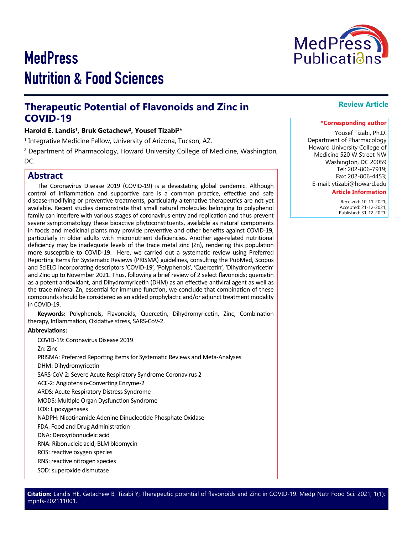# **MedPress** Nutrition & Food Sciences



## **Therapeutic Potential of Flavonoids and Zinc in COVID-19**

#### Harold E. Landis<sup>1</sup>, Bruk Getachew<sup>2</sup>, Yousef Tizabi<sup>2\*</sup>

1 Integrative Medicine Fellow, University of Arizona, Tucson, AZ.

2 Department of Pharmacology, Howard University College of Medicine, Washington,

DC.

#### **Abstract**

The Coronavirus Disease 2019 (COVID-19) is a devastating global pandemic. Although control of inflammation and supportive care is a common practice, effective and safe disease-modifying or preventive treatments, particularly alternative therapeutics are not yet available. Recent studies demonstrate that small natural molecules belonging to polyphenol family can interfere with various stages of coronavirus entry and replication and thus prevent severe symptomatology these bioactive phytoconstituents, available as natural components in foods and medicinal plants may provide preventive and other benefits against COVID-19, particularly in older adults with micronutrient deficiencies. Another age-related nutritional deficiency may be inadequate levels of the trace metal zinc (Zn), rendering this population more susceptible to COVID-19. Here, we carried out a systematic review using Preferred Reporting Items for Systematic Reviews (PRISMA) guidelines, consulting the PubMed, Scopus and SciELO incorporating descriptors 'COVID-19', 'Polyphenols', 'Quercetin', 'Dihydromyricetin' and Zinc up to November 2021. Thus, following a brief review of 2 select flavonoids; quercetin as a potent antioxidant, and Dihydromyricetin (DHM) as an effective antiviral agent as well as the trace mineral Zn, essential for immune function, we conclude that combination of these compounds should be considered as an added prophylactic and/or adjunct treatment modality in COVID-19.

**Keywords:** Polyphenols, Flavonoids, Quercetin, Dihydromyricetin, Zinc, Combination therapy, Inflammation, Oxidative stress, SARS-CoV-2.

#### **Abbreviations:**

COVID-19: Coronavirus Disease 2019

Zn: Zinc

PRISMA: Preferred Reporting Items for Systematic Reviews and Meta-Analyses

DHM: Dihydromyricetin

SARS-CoV-2: Severe Acute Respiratory Syndrome Coronavirus 2

ACE-2: Angiotensin-Converting Enzyme-2

ARDS: Acute Respiratory Distress Syndrome

MODS: Multiple Organ Dysfunction Syndrome

LOX: Lipoxygenases

NADPH: Nicotinamide Adenine Dinucleotide Phosphate Oxidase

FDA: Food and Drug Administration

DNA: Deoxyribonucleic acid

RNA: Ribonucleic acid; BLM bleomycin

ROS: reactive oxygen species

RNS: reactive nitrogen species

SOD: superoxide dismutase

**\*Corresponding author**

**Review Article** 

Yousef Tizabi, Ph.D. Department of Pharmacology Howard University College of Medicine 520 W Street NW Washington, DC 20059 Tel: 202-806-7919; Fax: 202-806-4453;

E-mail: ytizabi@howard.edu

#### **Article Information**

 Received: 10-11-2021; Accepted: 21-12-2021; Published: 31-12-2021.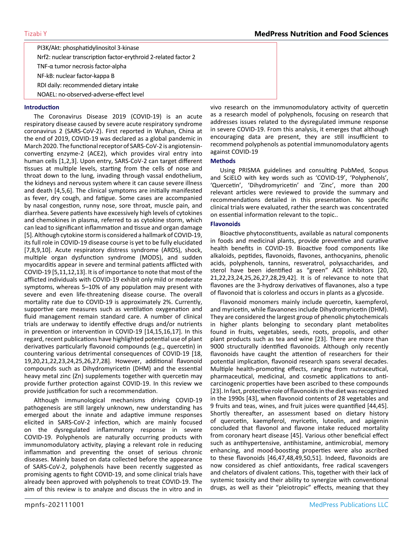PI3K/Akt: phosphatidylinositol 3-kinase Nrf2: nuclear transcription factor-erythroid 2-related factor 2 TNF-α tumor necrosis factor-alpha NF-kB: nuclear factor-kappa B RDI daily: recommended dietary intake NOAEL: no-observed-adverse-effect level

#### **Introduction**

The Coronavirus Disease 2019 (COVID-19) is an acute respiratory disease caused by severe acute respiratory syndrome coronavirus 2 (SARS-CoV-2). First reported in Wuhan, China at the end of 2019, COVID-19 was declared as a global pandemic in March 2020. The functional receptor of SARS-CoV-2 is angiotensinconverting enzyme-2 (ACE2), which provides viral entry into human cells [1,2,3]. Upon entry, SARS-CoV-2 can target different tissues at multiple levels, starting from the cells of nose and throat down to the lung, invading through vassal endothelium, the kidneys and nervous system where it can cause severe illness and death [4,5,6]. The clinical symptoms are initially manifested as fever, dry cough, and fatigue. Some cases are accompanied by nasal congestion, runny nose, sore throat, muscle pain, and diarrhea. Severe patients have excessively high levels of cytokines and chemokines in plasma, referred to as cytokine storm, which can lead to significant inflammation and tissue and organ damage [5]. Although cytokine storm is considered a hallmark of COVID-19, its full role in COVID-19 disease course is yet to be fully elucidated [7,8,9,10]. Acute respiratory distress syndrome (ARDS), shock, multiple organ dysfunction syndrome (MODS), and sudden myocarditis appear in severe and terminal patients afflicted with COVID-19 [5,11,12,13]. It is of importance to note that most of the afflicted individuals with COVID-19 exhibit only mild or moderate symptoms, whereas 5–10% of any population may present with severe and even life-threatening disease course. The overall mortality rate due to COVID-19 is approximately 2%. Currently, supportive care measures such as ventilation oxygenation and fluid management remain standard care. A number of clinical trials are underway to identify effective drugs and/or nutrients in prevention or intervention in COVID-19 [14,15,16,17]. In this regard, recent publications have highlighted potential use of plant derivatives particularly flavonoid compounds (e.g., quercetin) in countering various detrimental consequences of COVID-19 [18, 19,20,21,22,23,24,25,26,27,28]. However, additional flavonoid compounds such as Dihydromyricetin (DHM) and the essential heavy metal zinc (Zn) supplements together with quercetin may provide further protection against COVID-19. In this review we provide justification for such a recommendation.

Although immunological mechanisms driving COVID-19 pathogenesis are still largely unknown, new understanding has emerged about the innate and adaptive immune responses elicited in SARS-CoV-2 infection, which are mainly focused on the dysregulated inflammatory response in severe COVID-19. Polyphenols are naturally occurring products with immunomodulatory activity, playing a relevant role in reducing inflammation and preventing the onset of serious chronic diseases. Mainly based on data collected before the appearance of SARS-CoV-2, polyphenols have been recently suggested as promising agents to fight COVID-19, and some clinical trials have already been approved with polyphenols to treat COVID-19. The aim of this review is to analyze and discuss the in vitro and in

vivo research on the immunomodulatory activity of quercetin as a research model of polyphenols, focusing on research that addresses issues related to the dysregulated immune response in severe COVID-19. From this analysis, it emerges that although encouraging data are present, they are still insufficient to recommend polyphenols as potential immunomodulatory agents against COVID-19

#### **Methods**

Using PRISMA guidelines and consulting PubMed, Scopus and SciELO with key words such as 'COVID-19', 'Polyphenols', 'Quercetin', 'Dihydromyricetin' and 'Zinc', more than 200 relevant articles were reviewed to provide the summary and recommendations detailed in this presentation. No specific clinical trials were evaluated, rather the search was concentrated on essential information relevant to the topic..

#### **Flavonoids**

Bioactive phytoconstituents, available as natural components in foods and medicinal plants, provide preventive and curative health benefits in COVID-19. Bioactive food components like alkaloids, peptides, flavonoids, flavones, anthocyanins, phenolic acids, polyphenols, tannins, resveratrol, polysaccharides, and sterol have been identified as "green" ACE inhibitors [20, 21,22,23,24,25,26,27,28,29,42]. It is of relevance to note that flavones are the 3-hydroxy derivatives of flavanones, also a type of flavonoid that is colorless and occurs in plants as a glycoside.

Flavonoid monomers mainly include quercetin, kaempferol, and myricetin, while flavanones include Dihydromyricetin (DHM). They are considered the largest group of phenolic phytochemicals in higher plants belonging to secondary plant metabolites found in fruits, vegetables, seeds, roots, propolis, and other plant products such as tea and wine [23]. There are more than 9000 structurally identified flavonoids. Although only recently flavonoids have caught the attention of researchers for their potential implication, flavonoid research spans several decades. Multiple health-promoting effects, ranging from nutraceutical, pharmaceutical, medicinal, and cosmetic applications to anticarcinogenic properties have been ascribed to these compounds [23]. In fact, protective role of flavonoids in the diet was recognized in the 1990s [43], when flavonoid contents of 28 vegetables and 9 fruits and teas, wines, and fruit juices were quantified [44,45]. Shortly thereafter, an assessment based on dietary history of quercetin, kaempferol, myricetin, luteolin, and apigenin concluded that flavonol and flavone intake reduced mortality from coronary heart disease [45]. Various other beneficial effect such as antihypertensive, antihistamine, antimicrobial, memory enhancing, and mood-boosting properties were also ascribed to these flavonoids [46,47,48,49,50,51]. Indeed, flavonoids are now considered as chief antioxidants, free radical scavengers and chelators of divalent cations. This, together with their lack of systemic toxicity and their ability to synergize with conventional drugs, as well as their "pleiotropic" effects, meaning that they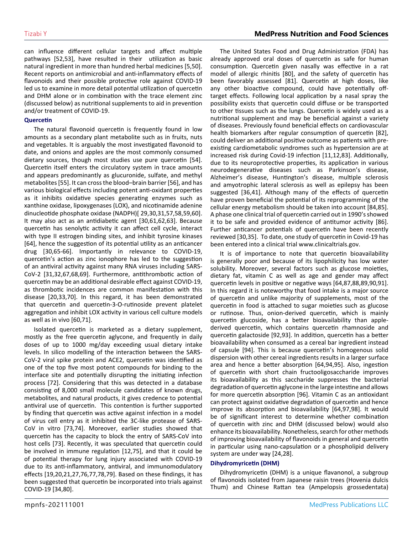can influence different cellular targets and affect multiple pathways [52,53], have resulted in their utilization as basic natural ingredient in more than hundred herbal medicines [5,50]. Recent reports on antimicrobial and anti-inflammatory effects of flavonoids and their possible protective role against COVID-19 led us to examine in more detail potential utilization of quercetin and DHM alone or in combination with the trace element zinc (discussed below) as nutritional supplements to aid in prevention and/or treatment of COVID-19.

#### **Quercetin**

The natural flavonoid quercetin is frequently found in low amounts as a secondary plant metabolite such as in fruits, nuts and vegetables. It is arguably the most investigated flavonoid to date, and onions and apples are the most commonly consumed dietary sources, though most studies use pure quercetin [54]. Quercetin itself enters the circulatory system in trace amounts and appears predominantly as glucuronide, sulfate, and methyl metabolites [55]. It can cross the blood–brain barrier [56], and has various biological effects including potent anti-oxidant properties as it inhibits oxidative species generating enzymes such as xanthine oxidase, lipoxygenases (LOX), and nicotinamide adenine dinucleotide phosphate oxidase (NADPH)[ 29,30,31,57,58,59,60]. It may also act as an antidiabetic agent [30,61,62,63]. Because quercetin has senolytic activity it can affect cell cycle, interact with type II estrogen binding sites, and inhibit tyrosine kinases [64], hence the suggestion of its potential utility as an anticancer drug [30,65-66]. Importantly in relevance to COVID-19, quercetin's action as zinc ionophore has led to the suggestion of an antiviral activity against many RNA viruses including SARS-CoV-2 [31,32,67,68,69]. Furthermore, antithrombotic action of quercetin may be an additional desirable effect against COVID-19, as thrombotic incidences are common manifestation with this disease [20,33,70]. In this regard, it has been demonstrated that quercetin and quercetin-3-O-rutinoside prevent platelet aggregation and inhibit LOX activity in various cell culture models as well as in vivo [60,71].

Isolated quercetin is marketed as a dietary supplement, mostly as the free quercetin aglycone, and frequently in daily doses of up to 1000 mg/day exceeding usual dietary intake levels. In silico modelling of the interaction between the SARS-CoV-2 viral spike protein and ACE2, quercetin was identified as one of the top five most potent compounds for binding to the interface site and potentially disrupting the initiating infection process [72]. Considering that this was detected in a database consisting of 8,000 small molecule candidates of known drugs, metabolites, and natural products, it gives credence to potential antiviral use of quercetin. This contention is further supported by finding that quercetin was active against infection in a model of virus cell entry as it inhibited the 3C-like protease of SARS-CoV in vitro [73,74]. Moreover, earlier studies showed that quercetin has the capacity to block the entry of SARS-CoV into host cells [73]. Recently, it was speculated that quercetin could be involved in immune regulation [12,75], and that it could be of potential therapy for lung injury associated with COVID-19 due to its anti-inflammatory, antiviral, and immunomodulatory effects [19,20,21,27,76,77,78,79]. Based on these findings, it has been suggested that quercetin be incorporated into trials against COVID-19 [34,80].

The United States Food and Drug Administration (FDA) has already approved oral doses of quercetin as safe for human consumption. Quercetin given nasally was effective in a rat model of allergic rhinitis [80], and the safety of quercetin has been favorably assessed [81]. Quercetin at high doses, like any other bioactive compound, could have potentially offtarget effects. Following local application by a nasal spray the possibility exists that quercetin could diffuse or be transported to other tissues such as the lungs. Quercetin is widely used as a nutritional supplement and may be beneficial against a variety of diseases. Previously found beneficial effects on cardiovascular health biomarkers after regular consumption of quercetin [82], could deliver an additional positive outcome as patients with preexisting cardiometabolic syndromes such as hypertension are at increased risk during Covid-19 infection [11,12,83]. Additionally, due to its neuroprotective properties, its application in various neurodegenerative diseases such as Parkinson's disease, Alzheimer's disease, Huntington's disease, multiple sclerosis and amyotrophic lateral sclerosis as well as epilepsy has been suggested [36,41]. Although many of the effects of quercetin have proven beneficial the potential of its reprogramming of the cellular energy metabolism should be taken into account [84,85]. A phase one clinical trial of quercetin carried out in 1990's showed it to be safe and provided evidence of antitumor activity [86]. Further anticancer potentials of quercetin have been recently reviewed [30,35]. To date, one study of quercetin in Covid-19 has been entered into a clinical trial www.clinicaltrials.gov.

It is of importance to note that quercetin bioavailability is generally poor and because of its lipophilicity has low water solubility. Moreover, several factors such as glucose moieties, dietary fat, vitamin C as well as age and gender may affect quercetin levels in positive or negative ways [64,87,88,89,90,91]. In this regard it is noteworthy that food intake is a major source of quercetin and unlike majority of supplements, most of the quercetin in food is attached to sugar moieties such as glucose or rutinose. Thus, onion-derived quercetin, which is mainly quercetin glucoside, has a better bioavailability than applederived quercetin, which contains quercetin rhamnoside and quercetin galactoside [92,93]. In addition, quercetin has a better bioavailability when consumed as a cereal bar ingredient instead of capsule [94]. This is because quercetin's homogenous solid dispersion with other cereal ingredients results in a larger surface area and hence a better absorption [64,94,95]. Also, ingestion of quercetin with short chain fructooligosaccharide improves its bioavailability as this saccharide suppresses the bacterial degradation of quercetin aglycone in the large intestine and allows for more quercetin absorption [96]. Vitamin C as an antioxidant can protect against oxidative degradation of quercetin and hence improve its absorption and bioavailability [64,97,98]. It would be of significant interest to determine whether combination of quercetin with zinc and DHM (discussed below) would also enhance its bioavailability. Nonetheless, search for other methods of improving bioavailability of flavonoids in general and quercetin in particular using nano-capsulation or a phospholipid delivery system are under way [24,28].

#### **Dihydromyricetin (DHM)**

Dihydromyricetin (DHM) is a unique flavanonol, a subgroup of flavonoids isolated from Japanese raisin trees (Hovenia dulcis Thum) and Chinese Rattan tea (Ampelopsis grossedentata)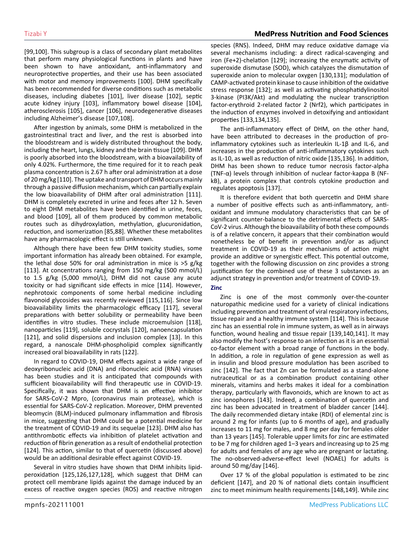[99,100]. This subgroup is a class of secondary plant metabolites that perform many physiological functions in plants and have been shown to have antioxidant, anti-inflammatory and neuroprotective properties, and their use has been associated with motor and memory improvements [100]. DHM specifically has been recommended for diverse conditions such as metabolic diseases, including diabetes [101], liver disease [102], septic acute kidney injury [103], inflammatory bowel disease [104], atherosclerosis [105], cancer [106], neurodegenerative diseases including Alzheimer's disease [107,108].

After ingestion by animals, some DHM is metabolized in the gastrointestinal tract and liver, and the rest is absorbed into the bloodstream and is widely distributed throughout the body, including the heart, lungs, kidney and the brain tissue [109]. DHM is poorly absorbed into the bloodstream, with a bioavailability of only 4.02%. Furthermore, the time required for it to reach peak plasma concentration is 2.67 h after oral administration at a dose of 20 mg/kg [110]. The uptake and transport of DHM occurs mainly through a passive diffusion mechanism, which can partially explain the low bioavailability of DHM after oral administration [111]. DHM is completely excreted in urine and feces after 12 h. Seven to eight DHM metabolites have been identified in urine, feces, and blood [109], all of them produced by common metabolic routes such as dihydroxylation, methylation, glucuronidation, reduction, and isomerization [85,88]. Whether these metabolites have any pharmacologic effect is still unknown.

Although there have been few DHM toxicity studies, some important information has already been obtained. For example, the lethal dose 50% for oral administration in mice is >5 g/kg [113]. At concentrations ranging from 150 mg/kg (500 mmol/L) to 1.5 g/kg (5,000 mmol/L), DHM did not cause any acute toxicity or had significant side effects in mice [114]. However, nephrotoxic components of some herbal medicine including flavonoid glycosides was recently reviewed [115,116]. Since low bioavailability limits the pharmacologic efficacy [117], several preparations with better solubility or permeability have been identifies in vitro studies. These include microemulsion [118], nanoparticles [119], soluble cocrystals [120], nanoencapsulation [121], and solid dispersions and inclusion complex [13]. In this regard, a nanoscale DHM-phospholipid complex significantly increased oral bioavailability in rats [122].

In regard to COVID-19, DHM effects against a wide range of deoxyribonucleic acid (DNA) and ribonucleic acid (RNA) viruses has been studies and it is anticipated that compounds with sufficient bioavailability will find therapeutic use in COVID-19. Specifically, it was shown that DHM is an effective inhibitor for SARS-CoV-2 Mpro, (coronavirus main protease), which is essential for SARS-CoV-2 replication. Moreover, DHM prevented bleomycin (BLM)-induced pulmonary inflammation and fibrosis in mice, suggesting that DHM could be a potential medicine for the treatment of COVID-19 and its sequelae [123]. DHM also has antithrombotic effects via inhibition of platelet activation and reduction of fibrin generation as a result of endothelial protection [124]. This action, similar to that of quercetin (discussed above) would be an additional desirable effect against COVID-19.

Several in vitro studies have shown that DHM inhibits lipidperoxidation [125,126,127,128], which suggest that DHM can protect cell membrane lipids against the damage induced by an excess of reactive oxygen species (ROS) and reactive nitrogen species (RNS). Indeed, DHM may reduce oxidative damage via several mechanisms including: a direct radical-scavenging and iron (Fe+2)-chelation [129]; increasing the enzymatic activity of superoxide dismutase (SOD), which catalyzes the dismutation of superoxide anion to molecular oxygen [130,131]; modulation of CAMP-activated protein kinase to cause inhibition of the oxidative stress response [132]; as well as activating phosphatidylinositol 3-kinase (PI3K/Akt) and modulating the nuclear transcription factor-erythroid 2-related factor 2 (Nrf2), which participates in the induction of enzymes involved in detoxifying and antioxidant properties [133,134,135].

The anti-inflammatory effect of DHM, on the other hand, have been attributed to decreases in the production of proinflammatory cytokines such as interleukin IL-1β and IL-6, and increases in the production of anti-inflammatory cytokines such as IL-10, as well as reduction of nitric oxide [135,136]. In addition, DHM has been shown to reduce tumor necrosis factor-alpha (TNF-α) levels through inhibition of nuclear factor-kappa B (NFkB), a protein complex that controls cytokine production and regulates apoptosis [137].

It is therefore evident that both quercetin and DHM share a number of positive effects such as anti-inflammatory, antioxidant and immune modulatory characteristics that can be of significant counter-balance to the detrimental effects of SARS-CoV-2 virus. Although the bioavailability of both these compounds is of a relative concern, it appears that their combination would nonetheless be of benefit in prevention and/or as adjunct treatment in COVID-19 as their mechanisms of action might provide an additive or synergistic effect. This potential outcome, together with the following discussion on zinc provides a strong justification for the combined use of these 3 substances as an adjunct strategy in prevention and/or treatment of COVID-19.

#### **Zinc**

Zinc is one of the most commonly over-the-counter naturopathic medicine used for a variety of clinical indications including prevention and treatment of viral respiratory infections, tissue repair and a healthy immune system [114]. This is because zinc has an essential role in immune system, as well as in airways function, wound healing and tissue repair [139,140,141]. It may also modify the host's response to an infection as it is an essential co-factor element with a broad range of functions in the body. In addition, a role in regulation of gene expression as well as in insulin and blood pressure modulation has been ascribed to zinc [142]. The fact that Zn can be formulated as a stand-alone nutraceutical or as a combination product containing other minerals, vitamins and herbs makes it ideal for a combination therapy, particularly with flavonoids, which are known to act as zinc ionophores [143]. Indeed, a combination of quercetin and zinc has been advocated in treatment of bladder cancer [144]. The daily recommended dietary intake (RDI) of elemental zinc is around 2 mg for infants (up to 6 months of age), and gradually increases to 11 mg for males, and 8 mg per day for females older than 13 years [145]. Tolerable upper limits for zinc are estimated to be 7 mg for children aged 1–3 years and increasing up to 25 mg for adults and females of any age who are pregnant or lactating. The no-observed-adverse-effect level (NOAEL) for adults is around 50 mg/day [146].

Over 17 % of the global population is estimated to be zinc deficient [147], and 20 % of national diets contain insufficient zinc to meet minimum health requirements [148,149]. While zinc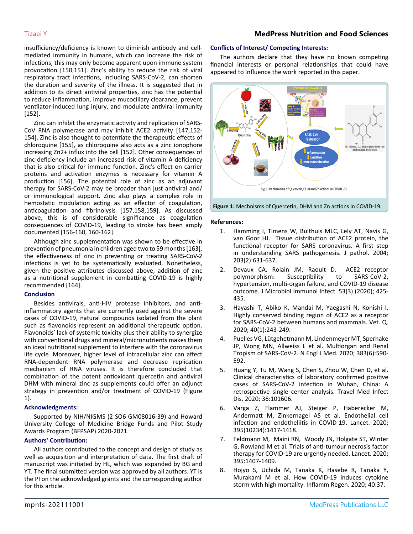insufficiency/deficiency is known to diminish antibody and cellmediated immunity in humans, which can increase the risk of infections, this may only become apparent upon immune system provocation [150,151]. Zinc's ability to reduce the risk of viral respiratory tract infections, including SARS-CoV-2, can shorten the duration and severity of the illness. It is suggested that in addition to its direct antiviral properties, zinc has the potential to reduce inflammation, improve mucocillary clearance, prevent ventilator-induced lung injury, and modulate antiviral immunity [152].

Zinc can inhibit the enzymatic activity and replication of SARS-CoV RNA polymerase and may inhibit ACE2 activity [147,152- 154]. Zinc is also thought to potentiate the therapeutic effects of chloroquine [155], as chloroquine also acts as a zinc ionophore increasing Zn2+ influx into the cell [152]. Other consequences of zinc deficiency include an increased risk of vitamin A deficiency that is also critical for immune function. Zinc's effect on carrier proteins and activation enzymes is necessary for vitamin A production [156]. The potential role of zinc as an adjuvant therapy for SARS-CoV-2 may be broader than just antiviral and/ or immunological support. Zinc also plays a complex role in hemostatic modulation acting as an effector of coagulation, anticoagulation and fibrinolysis [157,158,159]. As discussed above, this is of considerable significance as coagulation consequences of COVID-19, leading to stroke has been amply documented [156-160, 160-162].

Although zinc supplementation was shown to be effective in prevention of pneumonia in children aged two to 59 months [163], the effectiveness of zinc in preventing or treating SARS-CoV-2 infections is yet to be systematically evaluated. Nonetheless, given the positive attributes discussed above, addition of zinc as a nutritional supplement in combatting COVID-19 is highly recommended [164].

#### **Conclusion**

Besides antivirals, anti-HIV protease inhibitors, and antiinflammatory agents that are currently used against the severe cases of COVID-19, natural compounds isolated from the plant such as flavonoids represent an additional therapeutic option. Flavonoids' lack of systemic toxicity plus their ability to synergize with conventional drugs and mineral/micronutrients makes them an ideal nutritional supplement to interfere with the coronavirus life cycle. Moreover, higher level of intracellular zinc can affect RNA-dependent RNA polymerase and decrease replication mechanism of RNA viruses. It is therefore concluded that combination of the potent antioxidant quercetin and antiviral DHM with mineral zinc as supplements could offer an adjunct strategy in prevention and/or treatment of COVID-19 (Figure 1).

#### **Acknowledgments:**

Supported by NIH/NIGMS (2 SO6 GM08016-39) and Howard University College of Medicine Bridge Funds and Pilot Study Awards Program (BFPSAP) 2020-2021.

#### **Authors' Contribution:**

All authors contributed to the concept and design of study as well as acquisition and interpretation of data. The first draft of manuscript was initiated by HL, which was expanded by BG and YT. The final submitted version was approved by all authors. YT is the PI on the acknowledged grants and the corresponding author for this article.

#### **Conflicts of Interest/ Competing Interests:**

The authors declare that they have no known competing financial interests or personal relationships that could have appeared to influence the work reported in this paper.



**Figure 1:** Mechnisms of Quercetin, DHM and Zn actions in COVID-19.

#### **References:**

- 1. [Hamming I, Timens W, Bulthuis MLC, Lely AT, Navis G,](https://pubmed.ncbi.nlm.nih.gov/15141377/) [van Goor HJ. Tissue distribution of ACE2 protein, the](https://pubmed.ncbi.nlm.nih.gov/15141377/)  [functional receptor for SARS coronavirus. A first step](https://pubmed.ncbi.nlm.nih.gov/15141377/)  [in understanding SARS pathogenesis. J pathol. 2004;](https://pubmed.ncbi.nlm.nih.gov/15141377/) [203\(2\):631-637.](https://pubmed.ncbi.nlm.nih.gov/15141377/)
- 2. [Devaux CA, Rolain JM, Raoult D. ACE2 receptor](https://pubmed.ncbi.nlm.nih.gov/32414646/) [polymorphism: Susceptibility to SARS-CoV-2,](https://pubmed.ncbi.nlm.nih.gov/32414646/)  [hypertension, multi-organ failure, and COVID-19 disease](https://pubmed.ncbi.nlm.nih.gov/32414646/)  [outcome. J Microbiol Immunol Infect. 53\(3\) \(2020\); 425-](https://pubmed.ncbi.nlm.nih.gov/32414646/) [435](https://pubmed.ncbi.nlm.nih.gov/32414646/).
- 3. [Hayashi T, Abiko K, Mandai M, Yaegashi N, Konishi I.](https://pubmed.ncbi.nlm.nih.gov/32921279/)  [Highly conserved binding region of ACE2 as a receptor](https://pubmed.ncbi.nlm.nih.gov/32921279/) [for SARS-CoV-2 between humans and mammals. Vet. Q.](https://pubmed.ncbi.nlm.nih.gov/32921279/)  [2020; 40\(1\):243-249.](https://pubmed.ncbi.nlm.nih.gov/32921279/)
- 4. [Puelles VG, Lütgehetmann M, Lindenmeyer MT, Sperhake](https://pubmed.ncbi.nlm.nih.gov/32402155/)  [JP, Wong MN, Allweiss L et al. Multiorgan and Renal](https://pubmed.ncbi.nlm.nih.gov/32402155/)  [Tropism of SARS-CoV-2. N Engl J Med. 2020; 383\(6\):590-](https://pubmed.ncbi.nlm.nih.gov/32402155/) [592](https://pubmed.ncbi.nlm.nih.gov/32402155/).
- 5. [Huang Y, Tu M, Wang S, Chen S, Zhou W, Chen D, et al.](https://journals.plos.org/plosone/article?id=10.1371/journal.pone.0249964)  [Clinical characteristics of laboratory confirmed positive](https://journals.plos.org/plosone/article?id=10.1371/journal.pone.0249964)  [cases of SARS-CoV-2 infection in Wuhan, China: A](https://journals.plos.org/plosone/article?id=10.1371/journal.pone.0249964)  [retrospective single center analysis. Travel Med Infect](https://journals.plos.org/plosone/article?id=10.1371/journal.pone.0249964)  [Dis. 2020; 36:101606.](https://journals.plos.org/plosone/article?id=10.1371/journal.pone.0249964)
- 6. [Varga Z, Flammer AJ, Steiger P, Haberecker M,](https://pubmed.ncbi.nlm.nih.gov/32325026/)  [Andermatt M, Zinkernagel AS et al. Endothelial cell](https://pubmed.ncbi.nlm.nih.gov/32325026/)  [infection and endotheliitis in COVID-19. Lancet. 2020;](https://pubmed.ncbi.nlm.nih.gov/32325026/) [395\(10234\):1417-1418.](https://pubmed.ncbi.nlm.nih.gov/32325026/)
- 7. [Feldmann M, Maini RN, Woody JN, Holgate ST, Winter](https://pubmed.ncbi.nlm.nih.gov/32278362/)  [G, Rowland M et al. Trials of anti-tumour necrosis factor](https://pubmed.ncbi.nlm.nih.gov/32278362/)  [therapy for COVID-19 are urgently needed. Lancet. 2020;](https://pubmed.ncbi.nlm.nih.gov/32278362/) [395:1407‐1409.](https://pubmed.ncbi.nlm.nih.gov/32278362/)
- 8. [Hojyo S, Uchida M, Tanaka K, Hasebe R, Tanaka Y,](https://www.ncbi.nlm.nih.gov/pmc/articles/PMC7527296/)  [Murakami M et al. How COVID-19 induces cytokine](https://www.ncbi.nlm.nih.gov/pmc/articles/PMC7527296/)  [storm with high mortality. Inflamm Regen. 2020; 40:37.](https://www.ncbi.nlm.nih.gov/pmc/articles/PMC7527296/)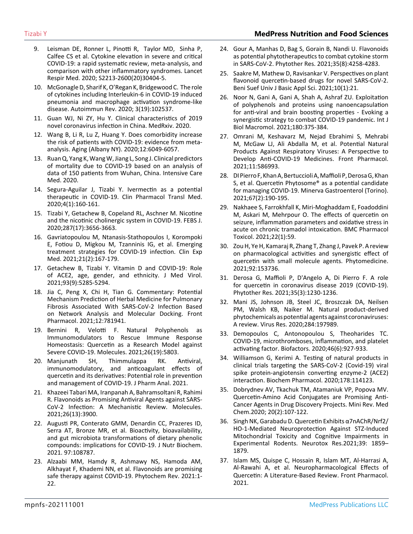- - 9. [Leisman DE, Ronner L, Pinotti R, Taylor MD, Sinha P,](https://www.thelancet.com/journals/lanres/article/PIIS2213-2600(20)30404-5/fulltext) [Calfee CS et al. Cytokine elevation in severe and critical](https://www.thelancet.com/journals/lanres/article/PIIS2213-2600(20)30404-5/fulltext)  [COVID-19: a rapid systematic review, meta-analysis, and](https://www.thelancet.com/journals/lanres/article/PIIS2213-2600(20)30404-5/fulltext)  [comparison with other inflammatory syndromes. Lancet](https://www.thelancet.com/journals/lanres/article/PIIS2213-2600(20)30404-5/fulltext)  [Respir Med. 2020; S2213-2600\(20\)30404-5.](https://www.thelancet.com/journals/lanres/article/PIIS2213-2600(20)30404-5/fulltext)
	- 10. [McGonagle D, Sharif K, O'Regan K, Bridgewood C. The role](https://pubmed.ncbi.nlm.nih.gov/32251717/)  [of cytokines including Interleukin-6 in COVID-19 induced](https://pubmed.ncbi.nlm.nih.gov/32251717/)  [pneumonia and macrophage activation syndrome-like](https://pubmed.ncbi.nlm.nih.gov/32251717/)  [disease. Autoimmun Rev. 2020; 3\(19\):102537.](https://pubmed.ncbi.nlm.nih.gov/32251717/)
	- 11. [Guan WJ, Ni ZY, Hu Y. Clinical characteristics of 2019](https://www.medrxiv.org/content/10.1101/2020.02.06.20020974v1) [novel coronavirus infection in China. MedRxiv. 2020.](https://www.medrxiv.org/content/10.1101/2020.02.06.20020974v1)
	- 12. [Wang B, Li R, Lu Z, Huang Y. Does comorbidity increase](https://www.ncbi.nlm.nih.gov/pmc/articles/PMC7185114/)  [the risk of patients with COVID-19: evidence from meta](https://www.ncbi.nlm.nih.gov/pmc/articles/PMC7185114/)[analysis. Aging \(Albany NY\). 2020;12:6049-6057.](https://www.ncbi.nlm.nih.gov/pmc/articles/PMC7185114/)
	- 13. [Ruan Q, Yang K, Wang W, Jiang L, Song J. Clinical predictors](https://pubmed.ncbi.nlm.nih.gov/32125452/)  [of mortality due to COVID-19 based on an analysis of](https://pubmed.ncbi.nlm.nih.gov/32125452/)  [data of 150 patients from Wuhan, China. Intensive Care](https://pubmed.ncbi.nlm.nih.gov/32125452/) [Med. 2020.](https://pubmed.ncbi.nlm.nih.gov/32125452/)
	- 14. [Segura-Aguilar J, Tizabi Y. Ivermectin as a potential](https://www.ncbi.nlm.nih.gov/pmc/articles/PMC7993655/)  [therapeutic in COVID-19. Clin Pharmacol Transl Med.](https://www.ncbi.nlm.nih.gov/pmc/articles/PMC7993655/)  [2020;4\(1\):160-161.](https://www.ncbi.nlm.nih.gov/pmc/articles/PMC7993655/)
	- 15. [Tizabi Y, Getachew B, Copeland RL, Aschner M. Nicotine](https://febs.onlinelibrary.wiley.com/doi/10.1111/febs.15521)  [and the nicotinic cholinergic system in COVID-19. FEBS J.](https://febs.onlinelibrary.wiley.com/doi/10.1111/febs.15521)  [2020;287\(17\):3656-3663.](https://febs.onlinelibrary.wiley.com/doi/10.1111/febs.15521)
	- 16. [Gavriatopoulou M, Ntanasis-Stathopoulos I, Korompoki](https://pubmed.ncbi.nlm.nih.gov/33128197/)  [E, Fotiou D, Migkou M, Tzanninis IG, et al. Emerging](https://pubmed.ncbi.nlm.nih.gov/33128197/) [treatment strategies for COVID-19 infection. Clin Exp](https://pubmed.ncbi.nlm.nih.gov/33128197/)  [Med. 2021;21\(2\):167-179.](https://pubmed.ncbi.nlm.nih.gov/33128197/)
	- 17. [Getachew B, Tizabi Y. Vitamin D and COVID-19: Role](https://pubmed.ncbi.nlm.nih.gov/33990955/)  [of ACE2, age, gender, and ethnicity. J Med Virol.](https://pubmed.ncbi.nlm.nih.gov/33990955/)  [2021;93\(9\):5285-5294.](https://pubmed.ncbi.nlm.nih.gov/33990955/)
	- 18. [Jia C, Peng X, Chi H, Tian G. Commentary: Potential](https://pubmed.ncbi.nlm.nih.gov/34803721/)  [Mechanism Prediction of Herbal Medicine for Pulmonary](https://pubmed.ncbi.nlm.nih.gov/34803721/)  [Fibrosis Associated With SARS-CoV-2 Infection Based](https://pubmed.ncbi.nlm.nih.gov/34803721/)  [on Network Analysis and Molecular Docking. Front](https://pubmed.ncbi.nlm.nih.gov/34803721/)  [Pharmacol. 2021;12:781941.](https://pubmed.ncbi.nlm.nih.gov/34803721/)
	- 19. [Bernini R, Velotti F. Natural Polyphenols as](https://pubmed.ncbi.nlm.nih.gov/34641348/)  [Immunomodulators to Rescue Immune Response](https://pubmed.ncbi.nlm.nih.gov/34641348/)  [Homeostasis: Quercetin as a Research Model against](https://pubmed.ncbi.nlm.nih.gov/34641348/)  [Severe COVID-19. Molecules. 2021;26\(19\):5803.](https://pubmed.ncbi.nlm.nih.gov/34641348/)
	- 20. [Manjunath SH, Thimmulappa RK. Antiviral,](https://pubmed.ncbi.nlm.nih.gov/34567823/)  [immunomodulatory, and anticoagulant effects of](https://pubmed.ncbi.nlm.nih.gov/34567823/)  [quercetin and its derivatives: Potential role in prevention](https://pubmed.ncbi.nlm.nih.gov/34567823/)  [and management of COVID-19. J Pharm Anal. 2021.](https://pubmed.ncbi.nlm.nih.gov/34567823/)
	- 21. [Khazeei Tabari MA, Iranpanah A, Bahramsoltani R, Rahimi](https://pubmed.ncbi.nlm.nih.gov/34202374/)  [R. Flavonoids as Promising Antiviral Agents against SARS-](https://pubmed.ncbi.nlm.nih.gov/34202374/)[CoV-2 Infection: A Mechanistic Review. Molecules.](https://pubmed.ncbi.nlm.nih.gov/34202374/)  [2021;26\(13\):3900](https://pubmed.ncbi.nlm.nih.gov/34202374/).
	- 22. [Augusti PR, Conterato GMM, Denardin CC, Prazeres ID,](https://pubmed.ncbi.nlm.nih.gov/34089819/)  [Serra AT, Bronze MR, et al. Bioactivity, bioavailability,](https://pubmed.ncbi.nlm.nih.gov/34089819/)  [and gut microbiota transformations of dietary phenolic](https://pubmed.ncbi.nlm.nih.gov/34089819/)  [compounds: implications for COVID-19. J Nutr Biochem.](https://pubmed.ncbi.nlm.nih.gov/34089819/)  [2021. 97:108787.](https://pubmed.ncbi.nlm.nih.gov/34089819/)
	- 23. [Alzaabi MM, Hamdy R, Ashmawy NS, Hamoda AM,](https://pubmed.ncbi.nlm.nih.gov/34054380/)  [Alkhayat F, Khademi NN, et al. Flavonoids are promising](https://pubmed.ncbi.nlm.nih.gov/34054380/)  [safe therapy against COVID-19. Phytochem Rev. 2021:1-](https://pubmed.ncbi.nlm.nih.gov/34054380/) [22.](https://pubmed.ncbi.nlm.nih.gov/34054380/)
- 24. [Gour A, Manhas D, Bag S, Gorain B, Nandi U. Flavonoids](https://pubmed.ncbi.nlm.nih.gov/33786876/)  [as potential phytotherapeutics to combat cytokine storm](https://pubmed.ncbi.nlm.nih.gov/33786876/)  [in SARS-CoV-2. Phytother Res. 2021;35\(8\):4258-4283.](https://pubmed.ncbi.nlm.nih.gov/33786876/)
- 25. [Saakre M, Mathew D, Ravisankar V. Perspectives on plant](https://pubmed.ncbi.nlm.nih.gov/33782651/)  [flavonoid quercetin-based drugs for novel SARS-CoV-2.](https://pubmed.ncbi.nlm.nih.gov/33782651/)  [Beni Suef Univ J Basic Appl Sci. 2021;10\(1\):21](https://pubmed.ncbi.nlm.nih.gov/33782651/).
- 26. [Noor N, Gani A, Gani A, Shah A, Ashraf ZU. Exploitation](https://pubmed.ncbi.nlm.nih.gov/33716131/)  [of polyphenols and proteins using nanoencapsulation](https://pubmed.ncbi.nlm.nih.gov/33716131/)  [for anti-viral and brain boosting properties - Evoking a](https://pubmed.ncbi.nlm.nih.gov/33716131/)  [synergistic strategy to combat COVID-19 pandemic. Int J](https://pubmed.ncbi.nlm.nih.gov/33716131/)  [Biol Macromol. 2021;180:375-384.](https://pubmed.ncbi.nlm.nih.gov/33716131/)
- 27. [Omrani M, Keshavarz M, Nejad Ebrahimi S, Mehrabi](https://pubmed.ncbi.nlm.nih.gov/33679384/)  [M, McGaw LJ, Ali Abdalla M, et al. Potential Natural](https://pubmed.ncbi.nlm.nih.gov/33679384/)  [Products Against Respiratory Viruses: A Perspective to](https://pubmed.ncbi.nlm.nih.gov/33679384/)  [Develop Anti-COVID-19 Medicines. Front Pharmacol.](https://pubmed.ncbi.nlm.nih.gov/33679384/)  [2021;11:586993.](https://pubmed.ncbi.nlm.nih.gov/33679384/)
- 28. [DI Pierro F, Khan A, Bertuccioli A, Maffioli P, Derosa G, Khan](https://pubmed.ncbi.nlm.nih.gov/33016666/)  [S, et al. Quercetin Phytosome® as a potential candidate](https://pubmed.ncbi.nlm.nih.gov/33016666/)  [for managing COVID-19. Minerva Gastroenterol \(Torino\).](https://pubmed.ncbi.nlm.nih.gov/33016666/)  [2021;67\(2\):190-195.](https://pubmed.ncbi.nlm.nih.gov/33016666/)
- 29. [Nakhaee S, Farrokhfall K, Miri-Moghaddam E, Foadoddini](https://pubmed.ncbi.nlm.nih.gov/34666816/)  [M, Askari M, Mehrpour O. The effects of quercetin on](https://pubmed.ncbi.nlm.nih.gov/34666816/)  [seizure, inflammation parameters and oxidative stress in](https://pubmed.ncbi.nlm.nih.gov/34666816/)  [acute on chronic tramadol intoxication. BMC Pharmacol](https://pubmed.ncbi.nlm.nih.gov/34666816/)  [Toxicol. 2021;22\(1\):59.](https://pubmed.ncbi.nlm.nih.gov/34666816/)
- 30. [Zou H, Ye H, Kamaraj R, Zhang T, Zhang J, Pavek P. A review](https://pubmed.ncbi.nlm.nih.gov/34560520/) [on pharmacological activities and synergistic effect of](https://pubmed.ncbi.nlm.nih.gov/34560520/)  [quercetin with small molecule agents. Phytomedicine.](https://pubmed.ncbi.nlm.nih.gov/34560520/)  [2021;92:153736.](https://pubmed.ncbi.nlm.nih.gov/34560520/)
- 31. [Derosa G, Maffioli P, D'Angelo A, Di Pierro F. A role](https://pubmed.ncbi.nlm.nih.gov/?term=A+role+for+quercetin+in+coronavirus+disease+2019+%28COVID-19%29.+&filter=dates.2021%2F10%2F1-2021%2F11%2F30)  [for quercetin in coronavirus disease 2019 \(COVID-19\).](https://pubmed.ncbi.nlm.nih.gov/?term=A+role+for+quercetin+in+coronavirus+disease+2019+%28COVID-19%29.+&filter=dates.2021%2F10%2F1-2021%2F11%2F30)  [Phytother Res. 2021;35\(3\):1230-1236.](https://pubmed.ncbi.nlm.nih.gov/?term=A+role+for+quercetin+in+coronavirus+disease+2019+%28COVID-19%29.+&filter=dates.2021%2F10%2F1-2021%2F11%2F30)
- 32. [Mani JS, Johnson JB, Steel JC, Broszczak DA, Neilsen](https://pubmed.ncbi.nlm.nih.gov/32360300/)  [PM, Walsh KB, Naiker M. Natural product-derived](https://pubmed.ncbi.nlm.nih.gov/32360300/)  [phytochemicals as potential agents against coronaviruses:](https://pubmed.ncbi.nlm.nih.gov/32360300/)  [A review. Virus Res. 2020;284:197989](https://pubmed.ncbi.nlm.nih.gov/32360300/).
- 33. [Demopoulos C, Antonopoulou S, Theoharides TC.](https://pubmed.ncbi.nlm.nih.gov/33296106/)  [COVID-19, microthromboses, inflammation, and platelet](https://pubmed.ncbi.nlm.nih.gov/33296106/)  [activating factor. Biofactors. 2020;46\(6\):927-933.](https://pubmed.ncbi.nlm.nih.gov/33296106/)
- 34. [Williamson G, Kerimi A. Testing of natural products in](https://pubmed.ncbi.nlm.nih.gov/32593613/)  [clinical trials targeting the SARS-CoV-2 \(Covid-19\) viral](https://pubmed.ncbi.nlm.nih.gov/32593613/)  [spike protein-angiotensin converting enzyme-2 \(ACE2\)](https://pubmed.ncbi.nlm.nih.gov/32593613/)  [interaction. Biochem Pharmacol. 2020;178:114123](https://pubmed.ncbi.nlm.nih.gov/32593613/).
- 35. [Dobrydnev AV, Tkachuk TM, Atamaniuk VP, Popova MV.](https://pubmed.ncbi.nlm.nih.gov/31595850/)  [Quercetin-Amino Acid Conjugates are Promising Anti-](https://pubmed.ncbi.nlm.nih.gov/31595850/)[Cancer Agents in Drug Discovery Projects. Mini Rev. Med](https://pubmed.ncbi.nlm.nih.gov/31595850/)  [Chem.2020; 20\(2\):107-122.](https://pubmed.ncbi.nlm.nih.gov/31595850/)
- 36. [Singh NK, Garabadu D. Quercetin Exhibits α7nAChR/Nrf2/](https://pubmed.ncbi.nlm.nih.gov/34554409/) [HO-1-Mediated Neuroprotection Against STZ-Induced](https://pubmed.ncbi.nlm.nih.gov/34554409/)  [Mitochondrial Toxicity and Cognitive Impairments in](https://pubmed.ncbi.nlm.nih.gov/34554409/)  [Experimental Rodents. Neurotox Res.2021;39: 1859–](https://pubmed.ncbi.nlm.nih.gov/34554409/) [1879](https://pubmed.ncbi.nlm.nih.gov/34554409/).
- 37. [Islam MS, Quispe C, Hossain R, Islam MT, Al-Harrasi A,](https://pubmed.ncbi.nlm.nih.gov/34220504/)  [Al-Rawahi A, et al. Neuropharmacological Effects of](https://pubmed.ncbi.nlm.nih.gov/34220504/)  [Quercetin: A Literature-Based Review. Front Pharmacol.](https://pubmed.ncbi.nlm.nih.gov/34220504/)  [2021.](https://pubmed.ncbi.nlm.nih.gov/34220504/)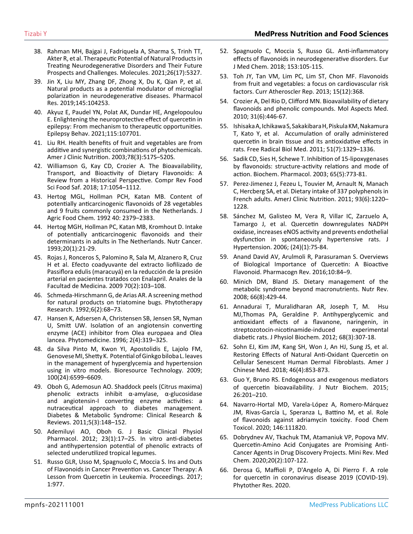- 38. [Rahman MH, Bajgai J, Fadriquela A, Sharma S, Trinh TT,](https://pubmed.ncbi.nlm.nih.gov/34500759/)  [Akter R, et al. Therapeutic Potential of Natural Products in](https://pubmed.ncbi.nlm.nih.gov/34500759/)  [Treating Neurodegenerative Disorders and Their Future](https://pubmed.ncbi.nlm.nih.gov/34500759/)  [Prospects and Challenges. Molecules. 2021;26\(17\):5327.](https://pubmed.ncbi.nlm.nih.gov/34500759/)
- 39. [Jin X, Liu MY, Zhang DF, Zhong X, Du K, Qian P, et al.](https://pubmed.ncbi.nlm.nih.gov/31059788/)  [Natural products as a potential modulator of microglial](https://pubmed.ncbi.nlm.nih.gov/31059788/)  [polarization in neurodegenerative diseases. Pharmacol](https://pubmed.ncbi.nlm.nih.gov/31059788/)  [Res. 2019;145:104253](https://pubmed.ncbi.nlm.nih.gov/31059788/).
- 40. [Akyuz E, Paudel YN, Polat AK, Dundar HE, Angelopoulou](https://pubmed.ncbi.nlm.nih.gov/33412369/)  [E. Enlightening the neuroprotective effect of quercetin in](https://pubmed.ncbi.nlm.nih.gov/33412369/)  [epilepsy: From mechanism to therapeutic opportunities.](https://pubmed.ncbi.nlm.nih.gov/33412369/)  [Epilepsy Behav. 2021;115:107701.](https://pubmed.ncbi.nlm.nih.gov/33412369/)
- 41. [Liu RH. Health benefits of fruit and vegetables are from](https://pubmed.ncbi.nlm.nih.gov/12936943/)  [additive and synergistic combinations of phytochemicals.](https://pubmed.ncbi.nlm.nih.gov/12936943/)  [Amer J Clinic Nutrition. 2003;78\(3\):517S–520S.](https://pubmed.ncbi.nlm.nih.gov/12936943/)
- 42. [Williamson G, Kay CD, Crozier A. The Bioavailability,](https://pubmed.ncbi.nlm.nih.gov/33350159/)  [Transport, and Bioactivity of Dietary Flavonoids: A](https://pubmed.ncbi.nlm.nih.gov/33350159/) [Review from a Historical Perspective. Compr Rev Food](https://pubmed.ncbi.nlm.nih.gov/33350159/)  [Sci Food Saf. 2018; 17:1054–1112.](https://pubmed.ncbi.nlm.nih.gov/33350159/)
- 43. [Hertog MGL, Hollman PCH, Katan MB. Content of](https://pubs.acs.org/doi/10.1021/jf00024a011)  [potentially anticarcinogenic flavonoids of 28 vegetables](https://pubs.acs.org/doi/10.1021/jf00024a011) [and 9 fruits commonly consumed in the Netherlands. J](https://pubs.acs.org/doi/10.1021/jf00024a011)  [Agric Food Chem. 1992 40: 2379–2383.](https://pubs.acs.org/doi/10.1021/jf00024a011)
- 44. [Hertog MGH, Hollman PC, Katan MB, Kromhout D. Intake](https://pubmed.ncbi.nlm.nih.gov/8415127/) [of potentially anticarcinogenic flavonoids and their](https://pubmed.ncbi.nlm.nih.gov/8415127/)  [determinants in adults in The Netherlands. Nutr Cancer.](https://pubmed.ncbi.nlm.nih.gov/8415127/)  [1993;20\(1\):21-29.](https://pubmed.ncbi.nlm.nih.gov/8415127/)
- 45. [Rojas J, Ronceros S, Palomino R, Sala M, Alzanero R, Cruz](http://www.scielo.org.pe/scielo.php?script=sci_arttext&pid=S1025-55832009000200004)  [H et al. Efecto coadyuvante del extracto liofilizado de](http://www.scielo.org.pe/scielo.php?script=sci_arttext&pid=S1025-55832009000200004)  [Passiflora edulis \(maracuyá\) en la reducción de la presión](http://www.scielo.org.pe/scielo.php?script=sci_arttext&pid=S1025-55832009000200004)  [arterial en pacientes tratados con Enalapril. Anales de la](http://www.scielo.org.pe/scielo.php?script=sci_arttext&pid=S1025-55832009000200004)  [Facultad de Medicina. 2009 70\(2\):103–108.](http://www.scielo.org.pe/scielo.php?script=sci_arttext&pid=S1025-55832009000200004)
- 46. [Schmeda-Hirschmann G, de Arias AR. A screening method](https://onlinelibrary.wiley.com/doi/abs/10.1002/ptr.2650060204)  [for natural products on triatomine bugs. Phytotherapy](https://onlinelibrary.wiley.com/doi/abs/10.1002/ptr.2650060204)  [Research. 1992;6\(2\):68–73.](https://onlinelibrary.wiley.com/doi/abs/10.1002/ptr.2650060204)
- 47. [Hansen K, Adsersen A, Christensen SB, Jensen SR, Nyman](https://www.scielo.br/j/rbfar/a/hMzvKKXWfGcScLzH4fyTM8R/?lang=en)  [U, Smitt UW. Isolation of an angiotensin converting](https://www.scielo.br/j/rbfar/a/hMzvKKXWfGcScLzH4fyTM8R/?lang=en)  [enzyme \(ACE\) inhibitor from Olea europaea and Olea](https://www.scielo.br/j/rbfar/a/hMzvKKXWfGcScLzH4fyTM8R/?lang=en)  [lancea. Phytomedicine. 1996; 2\(4\):319–325.](https://www.scielo.br/j/rbfar/a/hMzvKKXWfGcScLzH4fyTM8R/?lang=en)
- 48. [da Silva Pinto M, Kwon YI, Apostolidis E, Lajolo FM,](https://pubmed.ncbi.nlm.nih.gov/19665890/)  [Genovese MI, Shetty K. Potential of Ginkgo biloba L. leaves](https://pubmed.ncbi.nlm.nih.gov/19665890/)  [in the management of hyperglycemia and hypertension](https://pubmed.ncbi.nlm.nih.gov/19665890/)  [using in vitro models. Bioresource Technology. 2009;](https://pubmed.ncbi.nlm.nih.gov/19665890/)  [100\(24\):6599–6609.](https://pubmed.ncbi.nlm.nih.gov/19665890/)
- 49. [Oboh G, Ademosun AO. Shaddock peels \(Citrus maxima\)](https://pubmed.ncbi.nlm.nih.gov/22813568/)  [phenolic extracts inhibit α-amylase, α-glucosidase](https://pubmed.ncbi.nlm.nih.gov/22813568/)  [and angiotensin-I converting enzyme activities: a](https://pubmed.ncbi.nlm.nih.gov/22813568/)  [nutraceutical approach to diabetes management.](https://pubmed.ncbi.nlm.nih.gov/22813568/)  [Diabetes & Metabolic Syndrome: Clinical Research &](https://pubmed.ncbi.nlm.nih.gov/22813568/)  [Reviews. 2011;5\(3\):148–152.](https://pubmed.ncbi.nlm.nih.gov/22813568/)
- 50. [Ademiluyi AO, Oboh G. J Basic Clinical Physiol](https://www.semanticscholar.org/paper/Phenolic-rich-extracts-from-selected-tropical-and-I-Ademiluyi-Oboh/de48ae65fdaa09858c30ac687a2689ac7390299e)  [Pharmacol. 2012; 23\(1\):17–25. In vitro anti-diabetes](https://www.semanticscholar.org/paper/Phenolic-rich-extracts-from-selected-tropical-and-I-Ademiluyi-Oboh/de48ae65fdaa09858c30ac687a2689ac7390299e)  [and antihypertension potential of phenolic extracts of](https://www.semanticscholar.org/paper/Phenolic-rich-extracts-from-selected-tropical-and-I-Ademiluyi-Oboh/de48ae65fdaa09858c30ac687a2689ac7390299e)  [selected underutilized tropical legumes.](https://www.semanticscholar.org/paper/Phenolic-rich-extracts-from-selected-tropical-and-I-Ademiluyi-Oboh/de48ae65fdaa09858c30ac687a2689ac7390299e)
- 51. [Russo GLR, Usso M, Spagnuolo C, Moccia S. Ins and Outs](https://www.researchgate.net/publication/321042004_Ins_and_Outs_of_Flavonoids_in_Cancer_Prevention_vs_Cancer_Therapy_A_Lesson_from_Quercetin_in_Leukemia)  [of Flavonoids in Cancer Prevention vs. Cancer Therapy: A](https://www.researchgate.net/publication/321042004_Ins_and_Outs_of_Flavonoids_in_Cancer_Prevention_vs_Cancer_Therapy_A_Lesson_from_Quercetin_in_Leukemia)  [Lesson from Quercetin in Leukemia. Proceedings. 2017;](https://www.researchgate.net/publication/321042004_Ins_and_Outs_of_Flavonoids_in_Cancer_Prevention_vs_Cancer_Therapy_A_Lesson_from_Quercetin_in_Leukemia)  [1:977.](https://www.researchgate.net/publication/321042004_Ins_and_Outs_of_Flavonoids_in_Cancer_Prevention_vs_Cancer_Therapy_A_Lesson_from_Quercetin_in_Leukemia)
- 52. [Spagnuolo C, Moccia S, Russo GL. Anti-inflammatory](https://pubmed.ncbi.nlm.nih.gov/?term=Anti-inflammatory+effects+of+flavonoids+in+neurodegenerative+disorders.+&filter=dates.2021%2F10%2F1-2021%2F11%2F30)  e[ffects of flavonoids in neurodegenerative disorders. Eur](https://pubmed.ncbi.nlm.nih.gov/?term=Anti-inflammatory+effects+of+flavonoids+in+neurodegenerative+disorders.+&filter=dates.2021%2F10%2F1-2021%2F11%2F30)  [J Med Chem. 2018; 153:105-115](https://pubmed.ncbi.nlm.nih.gov/?term=Anti-inflammatory+effects+of+flavonoids+in+neurodegenerative+disorders.+&filter=dates.2021%2F10%2F1-2021%2F11%2F30).
- 53. [Toh JY, Tan VM, Lim PC, Lim ST, Chon MF. Flavonoids](https://pubmed.ncbi.nlm.nih.gov/24091782/)  [from fruit and vegetables: a focus on cardiovascular risk](https://pubmed.ncbi.nlm.nih.gov/24091782/)  [factors. Curr Atheroscler Rep. 2013; 15\(12\):368.](https://pubmed.ncbi.nlm.nih.gov/24091782/)
- 54. [Crozier A, Del Rio D, Clifford MN. Bioavailability of dietary](https://pubmed.ncbi.nlm.nih.gov/?term=Bioavailability+of+dietary+flavonoids+and+phenolic+compounds.+&filter=dates.2021%2F10%2F1-2021%2F11%2F30)  [flavonoids and phenolic compounds. Mol Aspects Med.](https://pubmed.ncbi.nlm.nih.gov/?term=Bioavailability+of+dietary+flavonoids+and+phenolic+compounds.+&filter=dates.2021%2F10%2F1-2021%2F11%2F30)  [2010; 31\(6\):446-67.](https://pubmed.ncbi.nlm.nih.gov/?term=Bioavailability+of+dietary+flavonoids+and+phenolic+compounds.+&filter=dates.2021%2F10%2F1-2021%2F11%2F30)
- 55. [Ishisaka A, Ichikawa S, Sakakibara H, Piskula KM, Nakamura](https://pubmed.ncbi.nlm.nih.gov/21741473/)  [T, Kato Y, et al. Accumulation of orally administered](https://pubmed.ncbi.nlm.nih.gov/21741473/)  [quercetin in brain tissue and its antioxidative effects in](https://pubmed.ncbi.nlm.nih.gov/21741473/)  [rats. Free Radical Biol Med. 2011; 51\(7\):1329–1336.](https://pubmed.ncbi.nlm.nih.gov/21741473/)
- 56. [Sadik CD, Sies H, Schewe T. Inhibition of 15-lipoxygenases](https://pubmed.ncbi.nlm.nih.gov/12628491/)  [by flavonoids: structure-activity relations and mode of](https://pubmed.ncbi.nlm.nih.gov/12628491/)  [action. Biochem. Pharmacol. 2003; 65\(5\):773-81.](https://pubmed.ncbi.nlm.nih.gov/12628491/)
- 57. [Perez-Jimenez J, Fezeu L, Touvier M, Arnault N, Manach](https://pubmed.ncbi.nlm.nih.gov/21490142/)  [C, Hercberg SA, et al. Dietary intake of 337 polyphenols in](https://pubmed.ncbi.nlm.nih.gov/21490142/)  [French adults. AmerJ Clinic Nutrition. 2011; 93\(6\):1220–](https://pubmed.ncbi.nlm.nih.gov/21490142/) [1228](https://pubmed.ncbi.nlm.nih.gov/21490142/).
- 58. [Sánchez M, Galisteo M, Vera R, Villar IC, Zarzuelo A,](https://pubmed.ncbi.nlm.nih.gov/16331104/)  [Tamargo J, et al. Quercetin downregulates NADPH](https://pubmed.ncbi.nlm.nih.gov/16331104/)  [oxidase, increases eNOS activity and prevents endothelial](https://pubmed.ncbi.nlm.nih.gov/16331104/)  [dysfunction in spontaneously hypertensive rats. J](https://pubmed.ncbi.nlm.nih.gov/16331104/)  [Hypertension. 2006; \(24\)\(1\):75-84](https://pubmed.ncbi.nlm.nih.gov/16331104/).
- 59. [Anand David AV, Arulmoli R, Parasuraman S. Overviews](https://pubmed.ncbi.nlm.nih.gov/28082789/)  [of Biological Importance of Quercetin: A Bioactive](https://pubmed.ncbi.nlm.nih.gov/28082789/)  [Flavonoid. Pharmacogn Rev. 2016;10:84–9.](https://pubmed.ncbi.nlm.nih.gov/28082789/)
- 60. [Minich DM, Bland JS. Dietary management of the](https://pubmed.ncbi.nlm.nih.gov/18667004/)  [metabolic syndrome beyond macronutrients. Nutr Rev.](https://pubmed.ncbi.nlm.nih.gov/18667004/)  [2008; 66\(8\):429-44.](https://pubmed.ncbi.nlm.nih.gov/18667004/)
- 61. [Annadurai T, Muralidharan AR, Joseph T, M. Hsu](https://pubmed.ncbi.nlm.nih.gov/22234849/)  [MJ,Thomas PA, Geraldine P. Antihyperglycemic and](https://pubmed.ncbi.nlm.nih.gov/22234849/)  [antioxidant effects of a flavanone, naringenin, in](https://pubmed.ncbi.nlm.nih.gov/22234849/)  [streptozotocin-nicotinamide-induced experimental](https://pubmed.ncbi.nlm.nih.gov/22234849/)  [diabetic rats. J Physiol Biochem. 2012; 68\(3\):307-18.](https://pubmed.ncbi.nlm.nih.gov/22234849/)
- 62. [Sohn EJ, Kim JM, Kang SH, Won J, An HJ, Sung JS, et al.](https://pubmed.ncbi.nlm.nih.gov/29737207/)  [Restoring Effects of Natural Anti-Oxidant Quercetin on](https://pubmed.ncbi.nlm.nih.gov/29737207/)  [Cellular Senescent Human Dermal Fibroblasts. Amer J](https://pubmed.ncbi.nlm.nih.gov/29737207/)  [Chinese Med. 2018; 46\(4\):853-873.](https://pubmed.ncbi.nlm.nih.gov/29737207/)
- 63. [Guo Y, Bruno RS. Endogenous and exogenous mediators](https://pubmed.ncbi.nlm.nih.gov/25468612/)  [of quercetin bioavailability. J Nutr Biochem. 2015;](https://pubmed.ncbi.nlm.nih.gov/25468612/)  [26:201–210.](https://pubmed.ncbi.nlm.nih.gov/25468612/)
- 64. [Navarro-Hortal MD, Varela-López A, Romero-Márquez](https://pubmed.ncbi.nlm.nih.gov/?term=Role+of+flavonoids+against+adriamycin+toxicity.+&filter=dates.2021%2F10%2F1-2021%2F11%2F30)  [JM, Rivas-García L, Speranza L, Battino M, et al. Role](https://pubmed.ncbi.nlm.nih.gov/?term=Role+of+flavonoids+against+adriamycin+toxicity.+&filter=dates.2021%2F10%2F1-2021%2F11%2F30)  [of flavonoids against adriamycin toxicity. Food Chem](https://pubmed.ncbi.nlm.nih.gov/?term=Role+of+flavonoids+against+adriamycin+toxicity.+&filter=dates.2021%2F10%2F1-2021%2F11%2F30)  [Toxicol. 2020; 146:111820.](https://pubmed.ncbi.nlm.nih.gov/?term=Role+of+flavonoids+against+adriamycin+toxicity.+&filter=dates.2021%2F10%2F1-2021%2F11%2F30)
- 65. [Dobrydnev AV, Tkachuk TM, Atamaniuk VP, Popova MV.](https://pubmed.ncbi.nlm.nih.gov/31595850/)  [Quercetin-Amino Acid Conjugates are Promising Anti-](https://pubmed.ncbi.nlm.nih.gov/31595850/)[Cancer Agents in Drug Discovery Projects. Mini Rev. Med](https://pubmed.ncbi.nlm.nih.gov/31595850/)  [Chem. 2020;20\(2\):107-122.](https://pubmed.ncbi.nlm.nih.gov/31595850/)
- 66. [Derosa G, Maffioli P, D'Angelo A, Di Pierro F. A role](https://pubmed.ncbi.nlm.nih.gov/?term=A+role+for+quercetin+in+coronavirus+disease+2019+%28COVID-19%29.+&filter=dates.2021%2F10%2F1-2021%2F11%2F30)  [for quercetin in coronavirus disease 2019 \(COVID-19\).](https://pubmed.ncbi.nlm.nih.gov/?term=A+role+for+quercetin+in+coronavirus+disease+2019+%28COVID-19%29.+&filter=dates.2021%2F10%2F1-2021%2F11%2F30)  [Phytother Res. 2020.](https://pubmed.ncbi.nlm.nih.gov/?term=A+role+for+quercetin+in+coronavirus+disease+2019+%28COVID-19%29.+&filter=dates.2021%2F10%2F1-2021%2F11%2F30)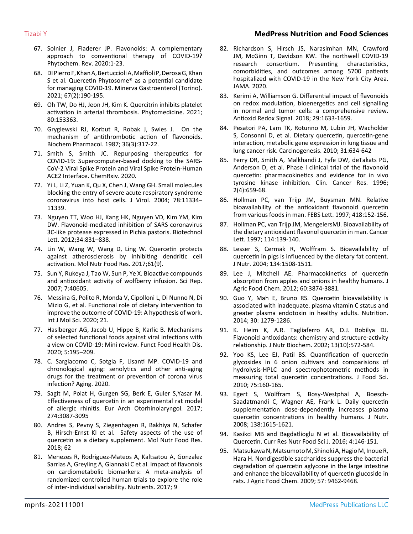- 67. [Solnier J, Fladerer JP. Flavonoids: A complementary](https://pubmed.ncbi.nlm.nih.gov/32982616/) [approach to conventional therapy of COVID-19?](https://pubmed.ncbi.nlm.nih.gov/32982616/)  [Phytochem. Rev. 2020:1-23.](https://pubmed.ncbi.nlm.nih.gov/32982616/)
- 68. [DI Pierro F, Khan A, Bertuccioli A, Maffioli P, Derosa G, Khan](https://pubmed.ncbi.nlm.nih.gov/33016666/)  [S et al. Quercetin Phytosome® as a potential candidate](https://pubmed.ncbi.nlm.nih.gov/33016666/)  [for managing COVID-19. Minerva Gastroenterol \(Torino\).](https://pubmed.ncbi.nlm.nih.gov/33016666/)  [2021; 67\(2\):190-195.](https://pubmed.ncbi.nlm.nih.gov/33016666/)
- 69. [Oh TW, Do HJ, Jeon JH, Kim K. Quercitrin inhibits platelet](https://pubmed.ncbi.nlm.nih.gov/33070081/)  [activation in arterial thrombosis. Phytomedicine. 2021;](https://pubmed.ncbi.nlm.nih.gov/33070081/) [80:153363](https://pubmed.ncbi.nlm.nih.gov/33070081/).
- 70. [Gryglewski RJ, Korbut R, Robak J, Swies J. On the](https://pubmed.ncbi.nlm.nih.gov/3101704/)  [mechanism of antithrombotic action of flavonoids.](https://pubmed.ncbi.nlm.nih.gov/3101704/)  [Biochem Pharmacol. 1987; 36\(3\):317-22.](https://pubmed.ncbi.nlm.nih.gov/3101704/)
- 71. [Smith S, Smith JC. Repurposing therapeutics for](https://chemrxiv.org/engage/chemrxiv/article-details/60c74980f96a00352b28727c)  [COVID-19: Supercomputer-based docking to the SARS-](https://chemrxiv.org/engage/chemrxiv/article-details/60c74980f96a00352b28727c)[CoV-2 Viral Spike Protein and Viral Spike Protein-Human](https://chemrxiv.org/engage/chemrxiv/article-details/60c74980f96a00352b28727c)  [ACE2 Interface. ChemRxiv. 2020.](https://chemrxiv.org/engage/chemrxiv/article-details/60c74980f96a00352b28727c)
- 72. [Yi L, Li Z, Yuan K, Qu X, Chen J, Wang GH. Small molecules](https://pubmed.ncbi.nlm.nih.gov/?term=Small+molecules+blocking+the+entry+of+severe+acute+respiratory+syndrome+coronavirus+into+host+cells.+&filter=dates.2021%2F10%2F1-2021%2F11%2F30)  [blocking the entry of severe acute respiratory syndrome](https://pubmed.ncbi.nlm.nih.gov/?term=Small+molecules+blocking+the+entry+of+severe+acute+respiratory+syndrome+coronavirus+into+host+cells.+&filter=dates.2021%2F10%2F1-2021%2F11%2F30)  [coronavirus into host cells. J Virol. 2004; 78:11334–](https://pubmed.ncbi.nlm.nih.gov/?term=Small+molecules+blocking+the+entry+of+severe+acute+respiratory+syndrome+coronavirus+into+host+cells.+&filter=dates.2021%2F10%2F1-2021%2F11%2F30) [11339.](https://pubmed.ncbi.nlm.nih.gov/?term=Small+molecules+blocking+the+entry+of+severe+acute+respiratory+syndrome+coronavirus+into+host+cells.+&filter=dates.2021%2F10%2F1-2021%2F11%2F30)
- 73. [Nguyen TT, Woo HJ, Kang HK, Nguyen VD, Kim YM, Kim](https://pubmed.ncbi.nlm.nih.gov/22350287/)  [DW. Flavonoid-mediated inhibition of SARS coronavirus](https://pubmed.ncbi.nlm.nih.gov/22350287/)  [3C-like protease expressed in Pichia pastoris. Biotechnol](https://pubmed.ncbi.nlm.nih.gov/22350287/)  [Lett. 2012;34:831–838.](https://pubmed.ncbi.nlm.nih.gov/22350287/)
- 74. [Lin W, Wang W, Wang D, Ling W. Quercetin protects](https://pubmed.ncbi.nlm.nih.gov/28457022/)  [against atherosclerosis by inhibiting dendritic cell](https://pubmed.ncbi.nlm.nih.gov/28457022/)  [activation. Mol Nutr Food Res. 2017;61\(9\).](https://pubmed.ncbi.nlm.nih.gov/28457022/)
- 75. [Sun Y, Rukeya J, Tao W, Sun P, Ye X. Bioactive compounds](https://pubmed.ncbi.nlm.nih.gov/28102295/)  [and antioxidant activity of wolfberry infusion. Sci Rep.](https://pubmed.ncbi.nlm.nih.gov/28102295/)  [2007; 7:40605.](https://pubmed.ncbi.nlm.nih.gov/28102295/)
- 76. [Messina G, Polito R, Monda V, Cipolloni L, Di Nunno N, Di](https://pubmed.ncbi.nlm.nih.gov/32354030/)  [Mizio G, et al. Functional role of dietary intervention to](https://pubmed.ncbi.nlm.nih.gov/32354030/)  [improve the outcome of COVID-19: A hypothesis of work.](https://pubmed.ncbi.nlm.nih.gov/32354030/)  [Int J Mol Sci. 2020; 21](https://pubmed.ncbi.nlm.nih.gov/32354030/).
- 77. [Haslberger AG, Jacob U, Hippe B, Karlic B. Mechanisms](https://ffhdj.com/index.php/ffhd/article/view/707/1259)  [of selected functional foods against viral infections with](https://ffhdj.com/index.php/ffhd/article/view/707/1259)  [a view on COVID-19: Mini review. Funct Food Health Dis.](https://ffhdj.com/index.php/ffhd/article/view/707/1259)  [2020; 5:195–209.](https://ffhdj.com/index.php/ffhd/article/view/707/1259)
- 78. [C. Sargiacomo C, Sotgia F, Lisanti MP. COVID-19 and](https://pubmed.ncbi.nlm.nih.gov/?term=COVID-19+and+chronological+aging%3A+senolytics+and+other+anti-aging+drugs+for+the+treatment+or+prevention+of+corona+virus+infection%3F+&filter=dates.2021%2F10%2F1-2021%2F11%2F30)  [chronological aging: senolytics and other anti-aging](https://pubmed.ncbi.nlm.nih.gov/?term=COVID-19+and+chronological+aging%3A+senolytics+and+other+anti-aging+drugs+for+the+treatment+or+prevention+of+corona+virus+infection%3F+&filter=dates.2021%2F10%2F1-2021%2F11%2F30)  [drugs for the treatment or prevention of corona virus](https://pubmed.ncbi.nlm.nih.gov/?term=COVID-19+and+chronological+aging%3A+senolytics+and+other+anti-aging+drugs+for+the+treatment+or+prevention+of+corona+virus+infection%3F+&filter=dates.2021%2F10%2F1-2021%2F11%2F30)  [infection? Aging. 2020.](https://pubmed.ncbi.nlm.nih.gov/?term=COVID-19+and+chronological+aging%3A+senolytics+and+other+anti-aging+drugs+for+the+treatment+or+prevention+of+corona+virus+infection%3F+&filter=dates.2021%2F10%2F1-2021%2F11%2F30)
- 79. [Sagit M, Polat H, Gurgen SG, Berk E, Guler S,Yasar M.](https://pubmed.ncbi.nlm.nih.gov/28493194/)  [Effectiveness of quercetin in an experimental rat model](https://pubmed.ncbi.nlm.nih.gov/28493194/)  [of allergic rhinitis. Eur Arch Otorhinolaryngol. 2017;](https://pubmed.ncbi.nlm.nih.gov/28493194/)  [274:3087-3095](https://pubmed.ncbi.nlm.nih.gov/28493194/)
- 80. [Andres S, Pevny S, Ziegenhagen R, Bakhiya N, Schafer](https://pubmed.ncbi.nlm.nih.gov/29127724/)  [B, Hirsch-Ernst KI et al. Safety aspects of the use of](https://pubmed.ncbi.nlm.nih.gov/29127724/)  [quercetin as a dietary supplement. Mol Nutr Food Res.](https://pubmed.ncbi.nlm.nih.gov/29127724/)  [2018; 62](https://pubmed.ncbi.nlm.nih.gov/29127724/)
- 81. [Menezes R, Rodriguez-Mateos A, Kaltsatou A, Gonzalez](https://pubmed.ncbi.nlm.nih.gov/28208791/)  [Sarrias A, Greyling A, Giannaki C et al. Impact of flavonols](https://pubmed.ncbi.nlm.nih.gov/28208791/)  [on cardiometabolic biomarkers: A meta-analysis of](https://pubmed.ncbi.nlm.nih.gov/28208791/)  [randomized controlled human trials to explore the role](https://pubmed.ncbi.nlm.nih.gov/28208791/)  [of inter-individual variability. Nutrients. 2017; 9](https://pubmed.ncbi.nlm.nih.gov/28208791/)
- 82. [Richardson S, Hirsch JS, Narasimhan MN, Crawford](https://pubmed.ncbi.nlm.nih.gov/32320003/)  [JM, McGinn T, Davidson KW. The northwell COVID-19](https://pubmed.ncbi.nlm.nih.gov/32320003/)  [research consortium. Presenting characteristics,](https://pubmed.ncbi.nlm.nih.gov/32320003/)  [comorbidities, and outcomes among 5700 patients](https://pubmed.ncbi.nlm.nih.gov/32320003/)  [hospitalized with COVID-19 in the New York City Area.](https://pubmed.ncbi.nlm.nih.gov/32320003/)  [JAMA. 2020.](https://pubmed.ncbi.nlm.nih.gov/32320003/)
- 83. [Kerimi A, Williamson G. Differential impact of flavonoids](https://pubmed.ncbi.nlm.nih.gov/28826224/)  [on redox modulation, bioenergetics and cell signalling](https://pubmed.ncbi.nlm.nih.gov/28826224/)  [in normal and tumor cells: a comprehensive review.](https://pubmed.ncbi.nlm.nih.gov/28826224/)  [Antioxid Redox Signal. 2018; 29:1633-1659.](https://pubmed.ncbi.nlm.nih.gov/28826224/)
- 84. [Pesatori PA, Lam TK, Rotunno M, Lubin JH, Wacholder](https://pubmed.ncbi.nlm.nih.gov/20044584/)  [S, Consonni D, et al. Dietary quercetin, quercetin-gene](https://pubmed.ncbi.nlm.nih.gov/20044584/)  [interaction, metabolic gene expression in lung tissue and](https://pubmed.ncbi.nlm.nih.gov/20044584/)  [lung cancer risk. Carcinogenesis. 2010; 31:634-642](https://pubmed.ncbi.nlm.nih.gov/20044584/)
- 85. [Ferry DR, Smith A, Malkhandi J, Fyfe DW, deTakats PG,](https://pubmed.ncbi.nlm.nih.gov/9816216/)  [Anderson D, et al. Phase I clinical trial of the flavonoid](https://pubmed.ncbi.nlm.nih.gov/9816216/)  [quercetin: pharmacokinetics and evidence for in vivo](https://pubmed.ncbi.nlm.nih.gov/9816216/)  [tyrosine kinase inhibition. Clin. Cancer Res. 1996;](https://pubmed.ncbi.nlm.nih.gov/9816216/)  [2\(4\):659-68](https://pubmed.ncbi.nlm.nih.gov/9816216/).
- 86. [Hollman PC, van Trijp JM, Buysman MN. Relative](https://pubmed.ncbi.nlm.nih.gov/9414116/)  [bioavailability of the antioxidant flavonoid quercetin](https://pubmed.ncbi.nlm.nih.gov/9414116/)  [from various foods in man. FEBS Lett. 1997; 418:152-156](https://pubmed.ncbi.nlm.nih.gov/9414116/).
- 87. [Hollman PC, van Trijp JM, MengelersMJ. Bioavailability of](https://pubmed.ncbi.nlm.nih.gov/9103273/)  [the dietary antioxidant flavonol quercetin in man. Cancer](https://pubmed.ncbi.nlm.nih.gov/9103273/)  [Lett. 1997; 114:139-140.](https://pubmed.ncbi.nlm.nih.gov/9103273/)
- 88. [Lesser S, Cermak R, Wolffram S. Bioavailability of](https://pubmed.ncbi.nlm.nih.gov/15173420/)  [quercetin in pigs is influenced by the dietary fat content.](https://pubmed.ncbi.nlm.nih.gov/15173420/)  [J Nutr. 2004; 134:1508-1511](https://pubmed.ncbi.nlm.nih.gov/15173420/).
- 89. [Lee J, Mitchell AE. Pharmacokinetics of quercetin](https://pubmed.ncbi.nlm.nih.gov/22439822/)  [absorption from apples and onions in healthy humans. J](https://pubmed.ncbi.nlm.nih.gov/22439822/)  [Agric Food Chem. 2012; 60:3874-3881](https://pubmed.ncbi.nlm.nih.gov/22439822/).
- 90. [Guo Y, Mah E, Bruno RS. Quercetin bioavailability is](https://pubmed.ncbi.nlm.nih.gov/25280405/)  [associated with inadequate. plasma vitamin C status and](https://pubmed.ncbi.nlm.nih.gov/25280405/)  [greater plasma endotoxin in healthy adults. Nutrition.](https://pubmed.ncbi.nlm.nih.gov/25280405/)  [2014; 30: 1279-1286.](https://pubmed.ncbi.nlm.nih.gov/25280405/)
- 91. [K. Heim K, A.R. Tagliaferro AR, D.J. Bobilya DJ.](https://www.sciencedirect.com/science/article/pii/S0955286302002085)  [Flavonoid antioxidants: chemistry and structure-activity](https://www.sciencedirect.com/science/article/pii/S0955286302002085)  [relationship. J Nutr Biochem. 2002; 13\(10\):572-584.](https://www.sciencedirect.com/science/article/pii/S0955286302002085)
- 92. [Yoo KS, Lee EJ, Patil BS. Quantification of quercetin](https://pubmed.ncbi.nlm.nih.gov/20492220/)  [glycosides in 6 onion cultivars and comparisions of](https://pubmed.ncbi.nlm.nih.gov/20492220/)  [hydrolysis-HPLC and spectrophotometric methods in](https://pubmed.ncbi.nlm.nih.gov/20492220/)  [measuring total quercetin concentrations. J Food Sci.](https://pubmed.ncbi.nlm.nih.gov/20492220/)  [2010; 75:160-165.](https://pubmed.ncbi.nlm.nih.gov/20492220/)
- 93. [Egert S, Wolffram S, Bosy-Westphal A, Boesch-](https://pubmed.ncbi.nlm.nih.gov/18716159/)[Saadatmandi C, Wagner AE, Frank L. Daily quercetin](https://pubmed.ncbi.nlm.nih.gov/18716159/)  [supplementation dose-dependently increases plasma](https://pubmed.ncbi.nlm.nih.gov/18716159/)  [quercetin concentrations in healthy humans. J Nutr.](https://pubmed.ncbi.nlm.nih.gov/18716159/)  [2008; 138:1615-1621.](https://pubmed.ncbi.nlm.nih.gov/18716159/)
- 94. [Kasikci MB and Bagdatlioglu N et al. Bioavailability of](https://www.foodandnutritionjournal.org/vol04nospl-issue-conf-october-2016/bioavailability-of-quercetin/)  [Quercetin. Curr Res Nutr Food Sci J. 2016; 4:146-151.](https://www.foodandnutritionjournal.org/vol04nospl-issue-conf-october-2016/bioavailability-of-quercetin/)
- 95. [Matsukawa N, Matsumoto M, Shinoki A, Hagio M, Inoue R,](https://pubs.acs.org/doi/10.1021/jf9024079)  [Hara H. Nondigestible saccharides suppress the bacterial](https://pubs.acs.org/doi/10.1021/jf9024079)  [degradation of quercetin aglycone in the large intestine](https://pubs.acs.org/doi/10.1021/jf9024079)  [and enhance the bioavailability of quercetin glucoside in](https://pubs.acs.org/doi/10.1021/jf9024079)  [rats. J Agric Food Chem. 2009; 57: 9462-9468.](https://pubs.acs.org/doi/10.1021/jf9024079)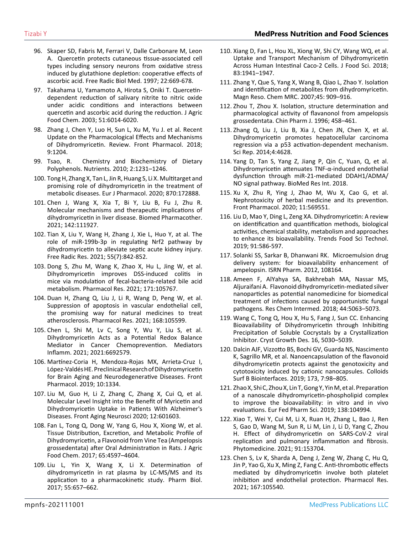- 96. [Skaper SD, Fabris M, Ferrari V, Dalle Carbonare M, Leon](https://pubmed.ncbi.nlm.nih.gov/9013129/)  [A. Quercetin protects cutaneous tissue-associated cell](https://pubmed.ncbi.nlm.nih.gov/9013129/)  [types including sensory neurons from oxidative stress](https://pubmed.ncbi.nlm.nih.gov/9013129/) [induced by glutathione depletion: cooperative effects of](https://pubmed.ncbi.nlm.nih.gov/9013129/)  [ascorbic acid. Free Radic Biol Med. 1997; 22:669-678.](https://pubmed.ncbi.nlm.nih.gov/9013129/)
- 97. [Takahama U, Yamamoto A, Hirota S, Oniki T. Quercetin](https://pubs.acs.org/doi/10.1021/jf021253%2B)[dependent reduction of salivary nitrite to nitric oxide](https://pubs.acs.org/doi/10.1021/jf021253%2B)  [under acidic conditions and interactions between](https://pubs.acs.org/doi/10.1021/jf021253%2B) [quercetin and ascorbic acid during the reduction. J Agric](https://pubs.acs.org/doi/10.1021/jf021253%2B) [Food Chem. 2003; 51:6014-6020.](https://pubs.acs.org/doi/10.1021/jf021253%2B)
- 98. [Zhang J, Chen Y, Luo H, Sun L, Xu M, Yu J. et al. Recent](https://www.frontiersin.org/articles/10.3389/fphar.2018.01204/full) [Update on the Pharmacological Effects and Mechanisms](https://www.frontiersin.org/articles/10.3389/fphar.2018.01204/full)  [of Dihydromyricetin. Review. Front Pharmacol. 2018;](https://www.frontiersin.org/articles/10.3389/fphar.2018.01204/full) [9:1204.](https://www.frontiersin.org/articles/10.3389/fphar.2018.01204/full)
- 99. [Tsao, R. Chemistry and Biochemistry of Dietary](https://www.ncbi.nlm.nih.gov/pmc/articles/PMC3257627/) [Polyphenols. Nutrients. 2010; 2:1231–1246.](https://www.ncbi.nlm.nih.gov/pmc/articles/PMC3257627/)
- 100. [Tong H, Zhang X, Tan L, Jin R, Huang S, Li X. Multitarget and](https://www.sciencedirect.com/science/article/abs/pii/S0014299919308404)  [promising role of dihydromyricetin in the treatment of](https://www.sciencedirect.com/science/article/abs/pii/S0014299919308404)  [metabolic diseases. Eur J Pharmacol. 2020; 870:172888.](https://www.sciencedirect.com/science/article/abs/pii/S0014299919308404)
- 101. [Chen J, Wang X, Xia T, Bi Y, Liu B, Fu J, Zhu R.](https://pubmed.ncbi.nlm.nih.gov/34339914/)  [Molecular mechanisms and therapeutic implications of](https://pubmed.ncbi.nlm.nih.gov/34339914/)  [dihydromyricetin in liver disease. Biomed Pharmacother.](https://pubmed.ncbi.nlm.nih.gov/34339914/) [2021; 142:111927.](https://pubmed.ncbi.nlm.nih.gov/34339914/)
- 102. [Tian X, Liu Y, Wang H, Zhang J, Xie L, Huo Y, at al. The](https://pubmed.ncbi.nlm.nih.gov/34490833/)  [role of miR-199b-3p in regulating Nrf2 pathway by](https://pubmed.ncbi.nlm.nih.gov/34490833/)  [dihydromyricetin to alleviate septic acute kidney injury.](https://pubmed.ncbi.nlm.nih.gov/34490833/)  [Free Radic Res. 2021; 55\(7\):842-852.](https://pubmed.ncbi.nlm.nih.gov/34490833/)
- 103. [Dong S, Zhu M, Wang K, Zhao X, Hu L, Jing W, et al.](https://en.x-mol.com/paper/article/1415433990975983616)  [Dihydromyricetin improves DSS-induced colitis in](https://en.x-mol.com/paper/article/1415433990975983616)  [mice via modulation of fecal-bacteria-related bile acid](https://en.x-mol.com/paper/article/1415433990975983616)  [metabolism. Pharmacol Res. 2021; 171:105767.](https://en.x-mol.com/paper/article/1415433990975983616)
- 104. [Duan H, Zhang Q, Liu J, Li R, Wang D, Peng W, et al.](https://pubmed.ncbi.nlm.nih.gov/33838291/)  [Suppression of apoptosis in vascular endothelial cell,](https://pubmed.ncbi.nlm.nih.gov/33838291/)  [the promising way for natural medicines to treat](https://pubmed.ncbi.nlm.nih.gov/33838291/)  [atherosclerosis. Pharmacol Res. 2021; 168:105599.](https://pubmed.ncbi.nlm.nih.gov/33838291/)
- 105. [Chen L, Shi M, Lv C, Song Y, Wu Y, Liu S, et al.](https://pubmed.ncbi.nlm.nih.gov/33776577/)  [Dihydromyricetin Acts as a Potential Redox Balance](https://pubmed.ncbi.nlm.nih.gov/33776577/)  [Mediator in Cancer Chemoprevention. Mediators](https://pubmed.ncbi.nlm.nih.gov/33776577/)  [Inflamm. 2021; 2021:6692579.](https://pubmed.ncbi.nlm.nih.gov/33776577/)
- 106. [Martínez-Coria H, Mendoza-Rojas MX, Arrieta-Cruz I,](https://www.ncbi.nlm.nih.gov/pmc/articles/PMC6859532/)  [López-Valdés HE. Preclinical Research of Dihydromyricetin](https://www.ncbi.nlm.nih.gov/pmc/articles/PMC6859532/)  [for Brain Aging and Neurodegenerative Diseases. Front](https://www.ncbi.nlm.nih.gov/pmc/articles/PMC6859532/)  [Pharmacol. 2019; 10:1334.](https://www.ncbi.nlm.nih.gov/pmc/articles/PMC6859532/)
- 107. [Liu M, Guo H, Li Z, Zhang C, Zhang X, Cui Q, et al.](https://pubmed.ncbi.nlm.nih.gov/33192493/)  [Molecular Level Insight into the Benefit of Myricetin and](https://pubmed.ncbi.nlm.nih.gov/33192493/)  [Dihydromyricetin Uptake in Patients With Alzheimer's](https://pubmed.ncbi.nlm.nih.gov/33192493/)  [Diseases. Front Aging Neurosci 2020; 12:601603.](https://pubmed.ncbi.nlm.nih.gov/33192493/)
- 108. [Fan L, Tong Q, Dong W, Yang G, Hou X, Xiong W, et al.](https://pubmed.ncbi.nlm.nih.gov/28534405/)  [Tissue Distribution, Excretion, and Metabolic Profile of](https://pubmed.ncbi.nlm.nih.gov/28534405/)  [Dihydromyricetin, a Flavonoid from Vine Tea \(Ampelopsis](https://pubmed.ncbi.nlm.nih.gov/28534405/)  [grossedentata\) after Oral Administration in Rats. J Agric](https://pubmed.ncbi.nlm.nih.gov/28534405/)  [Food Chem. 2017; 65:4597–4604.](https://pubmed.ncbi.nlm.nih.gov/28534405/)
- 109. [Liu L, Yin X, Wang X, Li X. Determination of](https://pubmed.ncbi.nlm.nih.gov/26133104/)  [dihydromyricetin in rat plasma by LC-MS/MS and its](https://pubmed.ncbi.nlm.nih.gov/26133104/)  [application to a pharmacokinetic study. Pharm Biol.](https://pubmed.ncbi.nlm.nih.gov/26133104/)  [2017; 55:657–662.](https://pubmed.ncbi.nlm.nih.gov/26133104/)
- 110. [Xiang D, Fan L, Hou XL, Xiong W, Shi CY, Wang WQ, et al.](https://pubmed.ncbi.nlm.nih.gov/29969512/)  [Uptake and Transport Mechanism of Dihydromyricetin](https://pubmed.ncbi.nlm.nih.gov/29969512/)  [Across Human Intestinal Caco-2 Cells. J Food Sci. 2018;](https://pubmed.ncbi.nlm.nih.gov/29969512/)  [83:1941–1947.](https://pubmed.ncbi.nlm.nih.gov/29969512/)
- 111. [Zhang Y, Que S, Yang X, Wang B, Qiao L, Zhao Y. Isolation](https://pubmed.ncbi.nlm.nih.gov/17924358/)  [and identification of metabolites from dihydromyricetin.](https://pubmed.ncbi.nlm.nih.gov/17924358/)  [Magn Reso. Chem MRC. 2007;45: 909–916.](https://pubmed.ncbi.nlm.nih.gov/17924358/)
- 112. [Zhou T, Zhou X. Isolation, structure determination and](https://www.ncbi.nlm.nih.gov/pmc/articles/PMC6859532/)  [pharmacological activity of flavanonol from ampelopsis](https://www.ncbi.nlm.nih.gov/pmc/articles/PMC6859532/)  [grossedentata. Chin Pharm J. 1996; 458–461.](https://www.ncbi.nlm.nih.gov/pmc/articles/PMC6859532/)
- 113. [Zhang Q, Liu J, Liu B, Xia J, Chen JN, Chen X, et al.](https://pubmed.ncbi.nlm.nih.gov/24717393/)  [Dihydromyricetin promotes hepatocellular carcinoma](https://pubmed.ncbi.nlm.nih.gov/24717393/)  [regression via a p53 activation-dependent mechanism.](https://pubmed.ncbi.nlm.nih.gov/24717393/)  [Sci Rep. 2014;4:4628.](https://pubmed.ncbi.nlm.nih.gov/24717393/)
- 114. [Yang D, Tan S, Yang Z, Jiang P, Qin C, Yuan, Q, et al.](https://www.hindawi.com/journals/bmri/2018/1047810/)  [Dihydromyricetin attenuates TNF-α-induced endothelial](https://www.hindawi.com/journals/bmri/2018/1047810/)  [dysfunction through miR-21-mediated DDAH1/ADMA/](https://www.hindawi.com/journals/bmri/2018/1047810/) [NO signal pathway. BioMed Res Int. 2018.](https://www.hindawi.com/journals/bmri/2018/1047810/)
- 115. [Xu X, Zhu R, Ying J, Zhao M, Wu X, Cao G, et al.](https://pubmed.ncbi.nlm.nih.gov/33178019/)  [Nephrotoxicity of herbal medicine and its prevention.](https://pubmed.ncbi.nlm.nih.gov/33178019/)  [Front Pharmacol. 2020; 11:569551.](https://pubmed.ncbi.nlm.nih.gov/33178019/)
- 116. [Liu D, Mao Y, Ding L, Zeng XA. Dihydromyricetin: A review](https://www.mdpi.com/1424-8247/14/8/794/htm)  [on identification and quantification methods, biological](https://www.mdpi.com/1424-8247/14/8/794/htm)  [activities, chemical stability, metabolism and approaches](https://www.mdpi.com/1424-8247/14/8/794/htm)  [to enhance its bioavailability. Trends Food Sci Technol.](https://www.mdpi.com/1424-8247/14/8/794/htm)  [2019; 91:586-597.](https://www.mdpi.com/1424-8247/14/8/794/htm)
- 117. [Solanki SS, Sarkar B, Dhanwani RK. Microemulsion drug](https://pubmed.ncbi.nlm.nih.gov/22830055/)  [delivery system: for bioavailability enhancement of](https://pubmed.ncbi.nlm.nih.gov/22830055/)  [ampelopsin. ISRN Pharm. 2012, 108164.](https://pubmed.ncbi.nlm.nih.gov/22830055/)
- 118. [Ameen F, AlYahya SA, Bakhrebah MA, Nassar MS,](https://www.semanticscholar.org/paper/Flavonoid-dihydromyricetin-mediated-silver-as-for-Ameen-Alyahya/05238d6bc6048b1c34befb476ce3e6368d48cdc2)  [Aljuraifani A. Flavonoid dihydromyricetin-mediated silver](https://www.semanticscholar.org/paper/Flavonoid-dihydromyricetin-mediated-silver-as-for-Ameen-Alyahya/05238d6bc6048b1c34befb476ce3e6368d48cdc2)  [nanoparticles as potential nanomedicine for biomedical](https://www.semanticscholar.org/paper/Flavonoid-dihydromyricetin-mediated-silver-as-for-Ameen-Alyahya/05238d6bc6048b1c34befb476ce3e6368d48cdc2)  [treatment of infections caused by opportunistic fungal](https://www.semanticscholar.org/paper/Flavonoid-dihydromyricetin-mediated-silver-as-for-Ameen-Alyahya/05238d6bc6048b1c34befb476ce3e6368d48cdc2)  [pathogens. Res Chem Intermed. 2018; 44:5063–5073.](https://www.semanticscholar.org/paper/Flavonoid-dihydromyricetin-mediated-silver-as-for-Ameen-Alyahya/05238d6bc6048b1c34befb476ce3e6368d48cdc2)
- 119. [Wang C, Tong Q, Hou X, Hu S, Fang J, Sun CC. Enhancing](https://pubs.acs.org/doi/abs/10.1021/acs.cgd.6b00591)  [Bioavailability of Dihydromyricetin through Inhibiting](https://pubs.acs.org/doi/abs/10.1021/acs.cgd.6b00591)  [Precipitation of Soluble Cocrystals by a Crystallization](https://pubs.acs.org/doi/abs/10.1021/acs.cgd.6b00591)  [Inhibitor. Cryst Growth Des. 16, 5030–5039.](https://pubs.acs.org/doi/abs/10.1021/acs.cgd.6b00591)
- 120. [Dalcin AJF, Vizzotto BS, Bochi GV, Guarda NS, Nascimento](https://www.sciencedirect.com/science/article/abs/pii/S0927776518307677)  [K, Sagrillo MR, et al. Nanoencapsulation of the flavonoid](https://www.sciencedirect.com/science/article/abs/pii/S0927776518307677)  [dihydromyricetin protects against the genotoxicity and](https://www.sciencedirect.com/science/article/abs/pii/S0927776518307677)  [cytotoxicity induced by cationic nanocapsules. Colloids](https://www.sciencedirect.com/science/article/abs/pii/S0927776518307677)  [Surf B Biointerfaces. 2019; 173, 7:98–805.](https://www.sciencedirect.com/science/article/abs/pii/S0927776518307677)
- 121. [Zhao X, Shi C, Zhou X, Lin T, Gong Y, Yin M, et al. Preparation](https://www.sciencedirect.com/science/article/pii/S092809871930257X)  [of a nanoscale dihydromyricetin-phospholipid complex](https://www.sciencedirect.com/science/article/pii/S092809871930257X)  [to improve the bioavailability: in vitro and in vivo](https://www.sciencedirect.com/science/article/pii/S092809871930257X)  [evaluations. Eur Fed Pharm Sci. 2019; 138:104994.](https://www.sciencedirect.com/science/article/pii/S092809871930257X)
- 122. [Xiao T, Wei Y, Cui M, Li X, Ruan H, Zhang L, Bao J, Ren](https://pubmed.ncbi.nlm.nih.gov/34419736/)  [S, Gao D, Wang M, Sun R, Li M, Lin J, Li D, Yang C, Zhou](https://pubmed.ncbi.nlm.nih.gov/34419736/)  [H. Effect of dihydromyricetin on SARS-CoV-2 viral](https://pubmed.ncbi.nlm.nih.gov/34419736/)  [replication and pulmonary inflammation and fibrosis.](https://pubmed.ncbi.nlm.nih.gov/34419736/)  [Phytomedicine. 2021; 91:153704.](https://pubmed.ncbi.nlm.nih.gov/34419736/)
- 123. [Chen S, Lv K, Sharda A, Deng J, Zeng W, Zhang C, Hu Q,](https://pubmed.ncbi.nlm.nih.gov/33711433/)  [Jin P, Yao G, Xu X, Ming Z, Fang C. Anti-thrombotic effects](https://pubmed.ncbi.nlm.nih.gov/33711433/)  [mediated by dihydromyricetin involve both platelet](https://pubmed.ncbi.nlm.nih.gov/33711433/)  [inhibition and endothelial protection. Pharmacol Res.](https://pubmed.ncbi.nlm.nih.gov/33711433/)  [2021; 167:105540.](https://pubmed.ncbi.nlm.nih.gov/33711433/)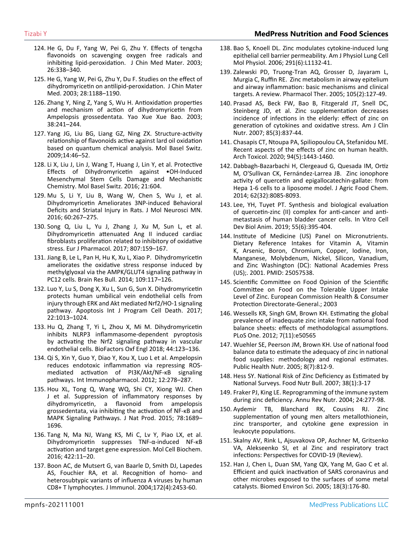- 124. [He G, Du F, Yang W, Pei G, Zhu Y. Effects of tengcha](https://pubmed.ncbi.nlm.nih.gov/14535015/)  [flavonoids on scavenging oxygen free radicals and](https://pubmed.ncbi.nlm.nih.gov/14535015/)  [inhibiting lipid-peroxidation. J Chin Med Mater. 2003;](https://pubmed.ncbi.nlm.nih.gov/14535015/) [26:338–340.](https://pubmed.ncbi.nlm.nih.gov/14535015/)
- 125. [He G, Yang W, Pei G, Zhu Y, Du F. Studies on the effect of](https://pubmed.ncbi.nlm.nih.gov/15617509/)  [dihydromyricetin on antilipid-peroxidation. J Chin Mater](https://pubmed.ncbi.nlm.nih.gov/15617509/) [Med. 2003; 28:1188–1190.](https://pubmed.ncbi.nlm.nih.gov/15617509/)
- 126. [Zhang Y, Ning Z, Yang S, Wu H. Antioxidation properties](https://pubmed.ncbi.nlm.nih.gov/12889119/) [and mechanism of action of dihydromyricetin from](https://pubmed.ncbi.nlm.nih.gov/12889119/)  [Ampelopsis grossedentata. Yao Xue Xue Bao. 2003;](https://pubmed.ncbi.nlm.nih.gov/12889119/) [38:241–244.](https://pubmed.ncbi.nlm.nih.gov/12889119/)
- 127. [Yang JG, Liu BG, Liang GZ, Ning ZX. Structure-activity](https://www.ncbi.nlm.nih.gov/pmc/articles/PMC6253939/) [relationship of flavonoids active against lard oil oxidation](https://www.ncbi.nlm.nih.gov/pmc/articles/PMC6253939/)  [based on quantum chemical analysis. Mol Basel Switz.](https://www.ncbi.nlm.nih.gov/pmc/articles/PMC6253939/)  [2009;14:46–52.](https://www.ncbi.nlm.nih.gov/pmc/articles/PMC6253939/)
- 128. [Li X, Liu J, Lin J, Wang T, Huang J, Lin Y, et al. Protective](https://pubmed.ncbi.nlm.nih.gov/27171068/) [Effects of Dihydromyricetin against •OH-Induced](https://pubmed.ncbi.nlm.nih.gov/27171068/)  [Mesenchymal Stem Cells Damage and Mechanistic](https://pubmed.ncbi.nlm.nih.gov/27171068/)  [Chemistry. Mol Basel Switz. 2016; 21:604.](https://pubmed.ncbi.nlm.nih.gov/27171068/)
- 129. [Mu S, Li Y, Liu B, Wang W, Chen S, Wu J, et al.](https://pubmed.ncbi.nlm.nih.gov/27501707/)  [Dihydromyricetin Ameliorates 3NP-induced Behavioral](https://pubmed.ncbi.nlm.nih.gov/27501707/)  [Deficits and Striatal Injury in Rats. J Mol Neurosci MN.](https://pubmed.ncbi.nlm.nih.gov/27501707/)  [2016; 60:267–275.](https://pubmed.ncbi.nlm.nih.gov/27501707/)
- 130. [Song Q, Liu L, Yu J, Zhang J, Xu M, Sun L, et al.](https://pubmed.ncbi.nlm.nih.gov/28414055/)  [Dihydromyricetin attenuated Ang II induced cardiac](https://pubmed.ncbi.nlm.nih.gov/28414055/)  [fibroblasts proliferation related to inhibitory of oxidative](https://pubmed.ncbi.nlm.nih.gov/28414055/)  [stress. Eur J Pharmacol. 2017; 807:159–167.](https://pubmed.ncbi.nlm.nih.gov/28414055/)
- 131. [Jiang B, Le L, Pan H, Hu K, Xu L, Xiao P. Dihydromyricetin](https://pubmed.ncbi.nlm.nih.gov/25451453/)  [ameliorates the oxidative stress response induced by](https://pubmed.ncbi.nlm.nih.gov/25451453/)  [methylglyoxal via the AMPK/GLUT4 signaling pathway in](https://pubmed.ncbi.nlm.nih.gov/25451453/)  [PC12 cells. Brain Res Bull. 2014; 109:117–126.](https://pubmed.ncbi.nlm.nih.gov/25451453/)
- 132. [Luo Y, Lu S, Dong X, Xu L, Sun G, Sun X. Dihydromyricetin](https://pubmed.ncbi.nlm.nih.gov/28612103/)  [protects human umbilical vein endothelial cells from](https://pubmed.ncbi.nlm.nih.gov/28612103/)  [injury through ERK and Akt mediated Nrf2/HO-1 signaling](https://pubmed.ncbi.nlm.nih.gov/28612103/)  [pathway. Apoptosis Int J Program Cell Death. 2017;](https://pubmed.ncbi.nlm.nih.gov/28612103/) [22:1013–1024.](https://pubmed.ncbi.nlm.nih.gov/28612103/)
- 133. [Hu Q, Zhang T, Yi L, Zhou X, Mi M. Dihydromyricetin](https://pubmed.ncbi.nlm.nih.gov/29193391/)  [inhibits NLRP3 inflammasome-dependent pyroptosis](https://pubmed.ncbi.nlm.nih.gov/29193391/)  [by activating the Nrf2 signaling pathway in vascular](https://pubmed.ncbi.nlm.nih.gov/29193391/)  [endothelial cells. BioFactors Oxf Engl 2018; 44:123–136.](https://pubmed.ncbi.nlm.nih.gov/29193391/)
- 134. [Qi S, Xin Y, Guo Y, Diao Y, Kou X, Luo L et al. Ampelopsin](https://pubmed.ncbi.nlm.nih.gov/22193240/)  [reduces endotoxic inflammation via repressing ROS](https://pubmed.ncbi.nlm.nih.gov/22193240/)[mediated activation of PI3K/Akt/NF-κB signaling](https://pubmed.ncbi.nlm.nih.gov/22193240/)  [pathways. Int Immunopharmacol. 2012; 12:278–287.](https://pubmed.ncbi.nlm.nih.gov/22193240/)
- 135. [Hou XL, Tong Q, Wang WQ, Shi CY, Xiong WJ. Chen](https://pubs.acs.org/doi/10.1021/acs.jnatprod.5b00275)  [J et al. Suppression of inflammatory responses by](https://pubs.acs.org/doi/10.1021/acs.jnatprod.5b00275)  [dihydromyricetin, a flavonoid from ampelopsis](https://pubs.acs.org/doi/10.1021/acs.jnatprod.5b00275)  [grossedentata, via inhibiting the activation of NF-κB and](https://pubs.acs.org/doi/10.1021/acs.jnatprod.5b00275)  [MAPK Signaling Pathways. J Nat Prod. 2015; 78:1689–](https://pubs.acs.org/doi/10.1021/acs.jnatprod.5b00275) [1696.](https://pubs.acs.org/doi/10.1021/acs.jnatprod.5b00275)
- 136. [Tang N, Ma NJ, Wang KS, Mi C, Lv Y, Piao LX, et al.](https://pubmed.ncbi.nlm.nih.gov/27686451/)  [Dihydromyricetin suppresses TNF-α-induced NF-κB](https://pubmed.ncbi.nlm.nih.gov/27686451/)  [activation and target gene expression. Mol Cell Biochem.](https://pubmed.ncbi.nlm.nih.gov/27686451/)  [2016; 422:11–20.](https://pubmed.ncbi.nlm.nih.gov/27686451/)
- 137. [Boon AC, de Mutsert G, van Baarle D, Smith DJ, Lapedes](https://pubmed.ncbi.nlm.nih.gov/14764717/)  [AS, Fouchier RA, et al. Recognition of homo- and](https://pubmed.ncbi.nlm.nih.gov/14764717/)  [heterosubtypic variants of influenza A viruses by human](https://pubmed.ncbi.nlm.nih.gov/14764717/)  [CD8+ T lymphocytes. J Immunol. 2004;172\(4\):2453-60.](https://pubmed.ncbi.nlm.nih.gov/14764717/)
- 138. [Bao S, Knoell DL. Zinc modulates cytokine-induced lung](https://pubmed.ncbi.nlm.nih.gov/16844947/)  [epithelial cell barrier permeability. Am J Physiol Lung Cell](https://pubmed.ncbi.nlm.nih.gov/16844947/)  [Mol Physiol. 2006; 291\(6\):L1132-41.](https://pubmed.ncbi.nlm.nih.gov/16844947/)
- 139. [Zalewski PD, Truong-Tran AQ, Grosser D, Jayaram L,](https://pubmed.ncbi.nlm.nih.gov/15670623/)  [Murgia C, Ruffin RE. Zinc metabolism in airway epitelium](https://pubmed.ncbi.nlm.nih.gov/15670623/)  [and airway inflammation: basic mechanisms and clinical](https://pubmed.ncbi.nlm.nih.gov/15670623/)  [targets. A review. Pharmacol Ther. 2005; 105\(2\):127-49.](https://pubmed.ncbi.nlm.nih.gov/15670623/)
- 140. [Prasad AS, Beck FW, Bao B, Fitzgerald JT, Snell DC,](https://pubmed.ncbi.nlm.nih.gov/17344507/)  [Steinberg JD, et al. Zinc supplementation decreases](https://pubmed.ncbi.nlm.nih.gov/17344507/) [incidence of infections in the elderly: effect of zinc on](https://pubmed.ncbi.nlm.nih.gov/17344507/)  [generation of cytokines and oxidative stress. Am J Clin](https://pubmed.ncbi.nlm.nih.gov/17344507/)  [Nutr. 2007; 85\(3\):837-44.](https://pubmed.ncbi.nlm.nih.gov/17344507/)
- 141. [Chasapis CT, Ntoupa PA, Spiliopoulou CA, Stefanidou ME.](https://pubmed.ncbi.nlm.nih.gov/32394086/)  [Recent aspects of the effects of zinc on human health.](https://pubmed.ncbi.nlm.nih.gov/32394086/)  [Arch Toxicol. 2020; 94\(5\):1443-1460.](https://pubmed.ncbi.nlm.nih.gov/32394086/)
- 142. [Dabbagh-Bazarbachi H, Clergeaud G, Quesada IM, Ortiz](https://pubs.acs.org/doi/10.1021/jf5014633)  [M, O'Sullivan CK, Fernández-Larrea JB. Zinc ionophore](https://pubs.acs.org/doi/10.1021/jf5014633)  [activity of quercetin and epigallocatechin-gallate: from](https://pubs.acs.org/doi/10.1021/jf5014633)  [Hepa 1-6 cells to a liposome model. J Agric Food Chem.](https://pubs.acs.org/doi/10.1021/jf5014633)  [2014; 62\(32\):8085-8093.](https://pubs.acs.org/doi/10.1021/jf5014633)
- 143. [Lee, YH, Tuyet PT. Synthesis and biological evaluation](https://pubmed.ncbi.nlm.nih.gov/31089950/)  [of quercetin-zinc \(II\) complex for anti-cancer and anti](https://pubmed.ncbi.nlm.nih.gov/31089950/)[metastasis of human bladder cancer cells. In Vitro Cell](https://pubmed.ncbi.nlm.nih.gov/31089950/)  [Dev Biol Anim. 2019; 55\(6\):395-404.](https://pubmed.ncbi.nlm.nih.gov/31089950/)
- 144. [Institute of Medicine \(US\) Panel on Micronutrients.](https://pubmed.ncbi.nlm.nih.gov/25057538/)  [Dietary Reference Intakes for Vitamin A, Vitamin](https://pubmed.ncbi.nlm.nih.gov/25057538/)  [K, Arsenic, Boron, Chromium, Copper, Iodine, Iron,](https://pubmed.ncbi.nlm.nih.gov/25057538/)  [Manganese, Molybdenum, Nickel, Silicon, Vanadium,](https://pubmed.ncbi.nlm.nih.gov/25057538/)  [and Zinc Washington \(DC\): National Academies Press](https://pubmed.ncbi.nlm.nih.gov/25057538/)  [\(US\);. 2001. PMID: 25057538.](https://pubmed.ncbi.nlm.nih.gov/25057538/)
- 145. [Scientific Committee on Food Opinion of the Scientific](https://ec.europa.eu/jrc/en/science-area/health-and-consumer-protection)  [Committee on Food on the Tolerable Upper Intake](https://ec.europa.eu/jrc/en/science-area/health-and-consumer-protection)  [Level of Zinc. European Commission Health & Consumer](https://ec.europa.eu/jrc/en/science-area/health-and-consumer-protection)  [Protection Directorate-General.; 2003](https://ec.europa.eu/jrc/en/science-area/health-and-consumer-protection)
- 146. [Wessells KR, Singh GM, Brown KH. Estimating the global](https://pubmed.ncbi.nlm.nih.gov/23209781/)  [prevalence of inadequate zinc intake from national food](https://pubmed.ncbi.nlm.nih.gov/23209781/)  [balance sheets: effects of methodological assumptions.](https://pubmed.ncbi.nlm.nih.gov/23209781/) [PLoS One. 2012; 7\(11\):e50565](https://pubmed.ncbi.nlm.nih.gov/23209781/)
- 147. [Wuehler SE, Peerson JM, Brown KH. Use of national food](https://pubmed.ncbi.nlm.nih.gov/16277796/)  [balance data to estimate the adequacy of zinc in national](https://pubmed.ncbi.nlm.nih.gov/16277796/)  [food supplies: methodology and regional estimates.](https://pubmed.ncbi.nlm.nih.gov/16277796/)  [Public Health Nutr. 2005; 8\(7\):812-9.](https://pubmed.ncbi.nlm.nih.gov/16277796/)
- 148. [Hess SY. National Risk of Zinc Deficiency as Estimated by](https://pubmed.ncbi.nlm.nih.gov/28118744/)  [National Surveys. Food Nutr Bull. 2007; 38\(1\):3-17](https://pubmed.ncbi.nlm.nih.gov/28118744/)
- 149. [Fraker PJ, King LE. Reprogramming of the immune system](https://pubmed.ncbi.nlm.nih.gov/15189122/)  [during zinc deficiency. Annu Rev Nutr. 2004; 24:277-98.](https://pubmed.ncbi.nlm.nih.gov/15189122/)
- 150. [Aydemir TB, Blanchard RK, Cousins RJ. Zinc](https://pubmed.ncbi.nlm.nih.gov/16434472/)  [supplementation of young men alters metallothionein,](https://pubmed.ncbi.nlm.nih.gov/16434472/)  [zinc transporter, and cytokine gene expression in](https://pubmed.ncbi.nlm.nih.gov/16434472/)  [leukocyte populations.](https://pubmed.ncbi.nlm.nih.gov/16434472/)
- 151. [Skalny AV, Rink L, Ajsuvakova OP, Aschner M, Gritsenko](https://pubmed.ncbi.nlm.nih.gov/32319538/)  [VA, Alekseenko SI, et al Zinc and respiratory tract](https://pubmed.ncbi.nlm.nih.gov/32319538/)  [infections: Perspectives for COVID-19 \(Review\).](https://pubmed.ncbi.nlm.nih.gov/32319538/)
- 152. [Han J, Chen L, Duan SM, Yang QX, Yang M, Gao C et al.](https://pubmed.ncbi.nlm.nih.gov/16131020/)  [Efficient and quick inactivation of SARS coronavirus and](https://pubmed.ncbi.nlm.nih.gov/16131020/)  [other microbes exposed to the surfaces of some metal](https://pubmed.ncbi.nlm.nih.gov/16131020/)  [catalysts. Biomed Environ Sci. 2005; 18\(3\):176-80.](https://pubmed.ncbi.nlm.nih.gov/16131020/)